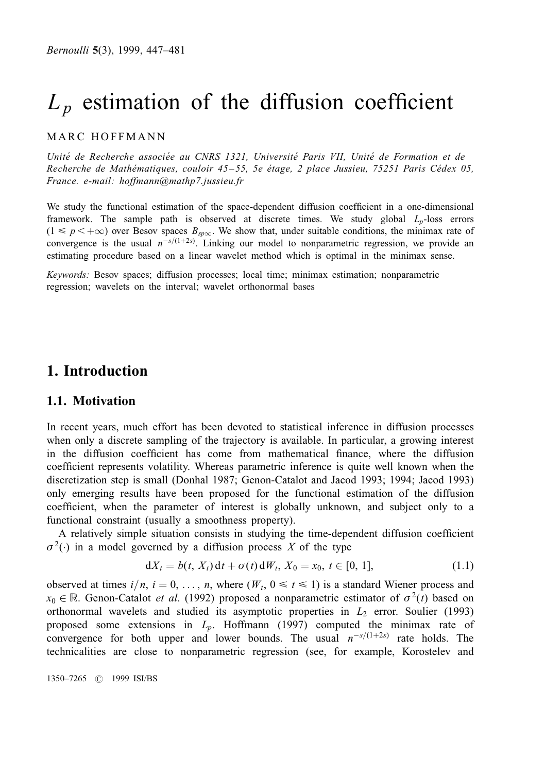# $L_p$  estimation of the diffusion coefficient

## MARC HOFFMANN

Unité de Recherche associée au CNRS 1321, Université Paris VII, Unité de Formation et de Recherche de Mathématiques, couloir 45-55, 5e étage, 2 place Jussieu, 75251 Paris Cédex 05, France. e-mail: hoffmann@mathp7.jussieu.fr

We study the functional estimation of the space-dependent diffusion coefficient in a one-dimensional framework. The sample path is observed at discrete times. We study global  $L_p$ -loss errors  $(1 \leq p \lt +\infty)$  over Besov spaces  $B_{\text{sp}\infty}$ . We show that, under suitable conditions, the minimax rate of convergence is the usual  $n^{-s/(1+2s)}$ . Linking our model to nonparametric regression, we provide an estimating procedure based on a linear wavelet method which is optimal in the minimax sense.

Keywords: Besov spaces; diffusion processes; local time; minimax estimation; nonparametric regression; wavelets on the interval; wavelet orthonormal bases

# 1. Introduction

## 1.1. Motivation

In recent years, much effort has been devoted to statistical inference in diffusion processes when only a discrete sampling of the trajectory is available. In particular, a growing interest in the diffusion coefficient has come from mathematical finance, where the diffusion coefficient represents volatility. Whereas parametric inference is quite well known when the discretization step is small (Donhal 1987; Genon-Catalot and Jacod 1993; 1994; Jacod 1993) only emerging results have been proposed for the functional estimation of the diffusion coefficient, when the parameter of interest is globally unknown, and subject only to a functional constraint (usually a smoothness property).

A relatively simple situation consists in studying the time-dependent diffusion coefficient  $\sigma^2(\cdot)$  in a model governed by a diffusion process X of the type

$$
dX_t = b(t, X_t) dt + \sigma(t) dW_t, X_0 = x_0, t \in [0, 1],
$$
\n(1.1)

observed at times  $i/n$ ,  $i=0, \ldots, n$ , where  $(W_t, 0 \le t \le 1)$  is a standard Wiener process and  $x_0 \in \mathbb{R}$ . Genon-Catalot *et al.* (1992) proposed a nonparametric estimator of  $\sigma^2(t)$  based on orthonormal wavelets and studied its asymptotic properties in  $L_2$  error. Soulier (1993) proposed some extensions in  $L_p$ . Hoffmann (1997) computed the minimax rate of convergence for both upper and lower bounds. The usual  $n^{-s/(1+2s)}$  rate holds. The technicalities are close to nonparametric regression (see, for example, Korostelev and

1350±7265 # 1999 ISI/BS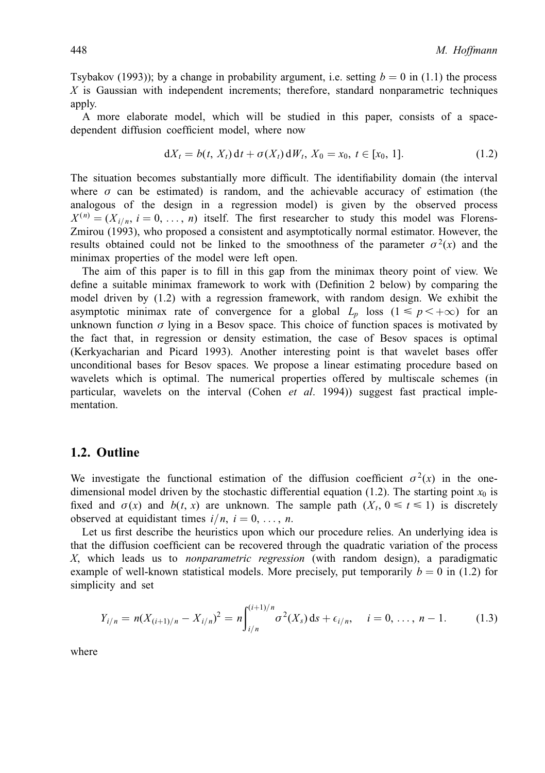Tsybakov (1993)); by a change in probability argument, i.e. setting  $b = 0$  in (1.1) the process  $X$  is Gaussian with independent increments; therefore, standard nonparametric techniques apply.

A more elaborate model, which will be studied in this paper, consists of a spacedependent diffusion coefficient model, where now

$$
dX_t = b(t, X_t) dt + \sigma(X_t) dW_t, X_0 = x_0, t \in [x_0, 1].
$$
\n(1.2)

The situation becomes substantially more difficult. The identifiability domain (the interval where  $\sigma$  can be estimated) is random, and the achievable accuracy of estimation (the analogous of the design in a regression model) is given by the observed process  $X^{(n)} = (X_{i,n}, i = 0, \ldots, n)$  itself. The first researcher to study this model was Florens-Zmirou (1993), who proposed a consistent and asymptotically normal estimator. However, the results obtained could not be linked to the smoothness of the parameter  $\sigma^2(x)$  and the minimax properties of the model were left open.

The aim of this paper is to fill in this gap from the minimax theory point of view. We define a suitable minimax framework to work with (Definition 2 below) by comparing the model driven by (1.2) with a regression framework, with random design. We exhibit the asymptotic minimax rate of convergence for a global  $L_p$  loss ( $1 \le p \lt +\infty$ ) for an unknown function  $\sigma$  lying in a Besov space. This choice of function spaces is motivated by the fact that, in regression or density estimation, the case of Besov spaces is optimal (Kerkyacharian and Picard 1993). Another interesting point is that wavelet bases offer unconditional bases for Besov spaces. We propose a linear estimating procedure based on wavelets which is optimal. The numerical properties offered by multiscale schemes (in particular, wavelets on the interval (Cohen *et al.* 1994)) suggest fast practical implementation.

### 1.2. Outline

We investigate the functional estimation of the diffusion coefficient  $\sigma^2(x)$  in the onedimensional model driven by the stochastic differential equation (1.2). The starting point  $x_0$  is fixed and  $\sigma(x)$  and  $b(t, x)$  are unknown. The sample path  $(X_t, 0 \le t \le 1)$  is discretely observed at equidistant times  $i/n$ ,  $i=0, \ldots, n$ .

Let us first describe the heuristics upon which our procedure relies. An underlying idea is that the diffusion coefficient can be recovered through the quadratic variation of the process X, which leads us to nonparametric regression (with random design), a paradigmatic example of well-known statistical models. More precisely, put temporarily  $b = 0$  in (1.2) for simplicity and set

$$
Y_{i/n} = n(X_{(i+1)/n} - X_{i/n})^2 = n \int_{i/n}^{(i+1)/n} \sigma^2(X_s) \, ds + \epsilon_{i/n}, \quad i = 0, \dots, n-1. \tag{1.3}
$$

where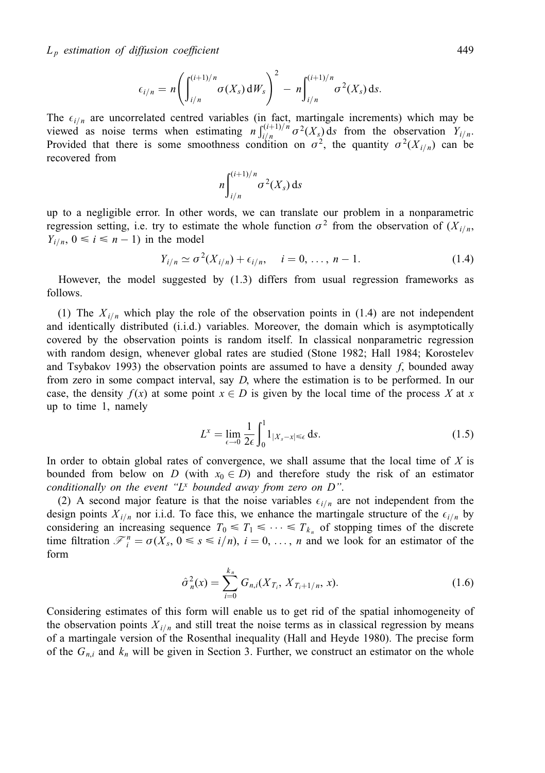$$
\epsilon_{i/n} = n \left( \int_{i/n}^{(i+1)/n} \sigma(X_s) dW_s \right)^2 - n \int_{i/n}^{(i+1)/n} \sigma^2(X_s) ds.
$$

The  $\epsilon_{i/n}$  are uncorrelated centred variables (in fact, martingale increments) which may be viewed as noise terms when estimating  $n \int_{i/n}^{(i+1)/n} \sigma^2(X_s) ds$  from the observation  $Y_{i/n}$ . Provided that there is some smoothness condition on  $\sigma^2$ , the quantity  $\sigma^2(X_{i/n})$  can be recovered from

$$
n\int_{i/n}^{(i+1)/n}\sigma^2(X_s)\,\mathrm{d} s
$$

up to a negligible error. In other words, we can translate our problem in a nonparametric regression setting, i.e. try to estimate the whole function  $\sigma^2$  from the observation of  $(X_{i/n},$  $Y_{i/n}$ ,  $0 \le i \le n - 1$ ) in the model

$$
Y_{i/n} \simeq \sigma^2(X_{i/n}) + \epsilon_{i/n}, \quad i = 0, \dots, n-1.
$$
 (1.4)

However, the model suggested by (1.3) differs from usual regression frameworks as follows.

(1) The  $X_{i/n}$  which play the role of the observation points in (1.4) are not independent and identically distributed (i.i.d.) variables. Moreover, the domain which is asymptotically covered by the observation points is random itself. In classical nonparametric regression with random design, whenever global rates are studied (Stone 1982; Hall 1984; Korostelev and Tsybakov 1993) the observation points are assumed to have a density f, bounded away from zero in some compact interval, say D, where the estimation is to be performed. In our case, the density  $f(x)$  at some point  $x \in D$  is given by the local time of the process X at x up to time 1, namely

$$
L^{x} = \lim_{\epsilon \to 0} \frac{1}{2\epsilon} \int_{0}^{1} 1_{|X_{s} - x| \leq \epsilon} ds.
$$
 (1.5)

In order to obtain global rates of convergence, we shall assume that the local time of  $X$  is bounded from below on D (with  $x_0 \in D$ ) and therefore study the risk of an estimator conditionally on the event " $L^x$  bounded away from zero on  $D$ ".

(2) A second major feature is that the noise variables  $\epsilon_{i/n}$  are not independent from the design points  $X_{i/n}$  nor i.i.d. To face this, we enhance the martingale structure of the  $\epsilon_{i/n}$  by considering an increasing sequence  $T_0 \leq T_1 \leq \cdots \leq T_{k_n}$  of stopping times of the discrete time filtration  $\mathcal{F}_i^n = \sigma(X_s, 0 \le s \le i/n)$ ,  $i = 0, \ldots, n$  and we look for an estimator of the form

$$
\hat{\sigma}_n^2(x) = \sum_{i=0}^{k_n} G_{n,i}(X_{T_i}, X_{T_i+1/n}, x). \tag{1.6}
$$

Considering estimates of this form will enable us to get rid of the spatial inhomogeneity of the observation points  $X_{i/n}$  and still treat the noise terms as in classical regression by means of a martingale version of the Rosenthal inequality (Hall and Heyde 1980). The precise form of the  $G_{n,i}$  and  $k_n$  will be given in Section 3. Further, we construct an estimator on the whole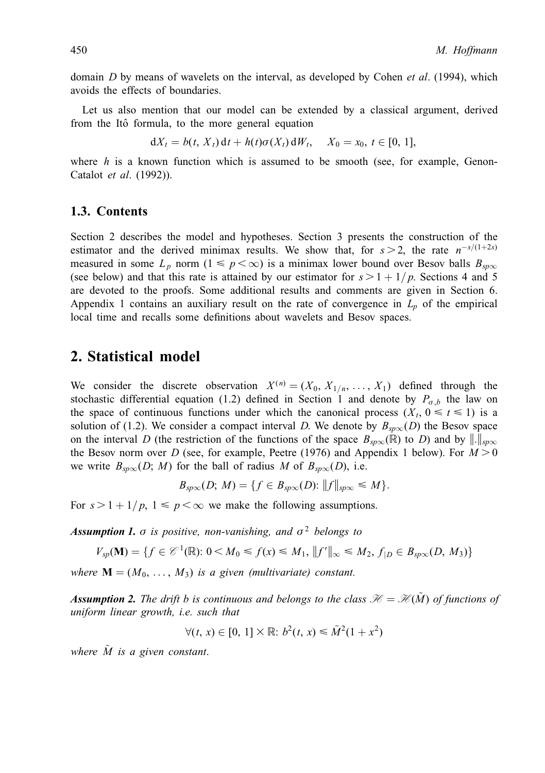domain  $D$  by means of wavelets on the interval, as developed by Cohen *et al.* (1994), which avoids the effects of boundaries.

Let us also mention that our model can be extended by a classical argument, derived from the Itô formula, to the more general equation

 $dX_t = b(t, X_t) dt + h(t)\sigma(X_t) dW_t, \quad X_0 = x_0, t \in [0, 1],$ 

where  $h$  is a known function which is assumed to be smooth (see, for example, Genon-Catalot et al. (1992)).

## 1.3. Contents

Section 2 describes the model and hypotheses. Section 3 presents the construction of the estimator and the derived minimax results. We show that, for  $s>2$ , the rate  $n^{-s/(1+2s)}$ measured in some  $L_p$  norm  $(1 \leq p < \infty)$  is a minimax lower bound over Besov balls  $B_{\text{sp}\infty}$ (see below) and that this rate is attained by our estimator for  $s > 1 + 1/p$ . Sections 4 and 5 are devoted to the proofs. Some additional results and comments are given in Section 6. Appendix 1 contains an auxiliary result on the rate of convergence in  $L_p$  of the empirical local time and recalls some definitions about wavelets and Besov spaces.

# 2. Statistical model

We consider the discrete observation  $X^{(n)} = (X_0, X_{1/n}, \ldots, X_1)$  defined through the stochastic differential equation (1.2) defined in Section 1 and denote by  $P_{\sigma,b}$  the law on the space of continuous functions under which the canonical process  $(X_t, 0 \le t \le 1)$  is a solution of (1.2). We consider a compact interval D. We denote by  $B_{sp\infty}(D)$  the Besov space on the interval D (the restriction of the functions of the space  $B_{\text{sp}\infty}(\mathbb{R})$  to D) and by  $\|\cdot\|_{\text{sp}\infty}$ the Besov norm over D (see, for example, Peetre (1976) and Appendix 1 below). For  $M > 0$ we write  $B_{\text{sp}\infty}(D; M)$  for the ball of radius M of  $B_{\text{sp}\infty}(D)$ , i.e.

$$
B_{\text{sp}\infty}(D; M) = \{f \in B_{\text{sp}\infty}(D) : ||f||_{\text{sp}\infty} \leq M\}.
$$

For  $s > 1 + 1/p$ ,  $1 \le p < \infty$  we make the following assumptions.

**Assumption 1.**  $\sigma$  is positive, non-vanishing, and  $\sigma^2$  belongs to

$$
V_{sp}(\mathbf{M}) = \{ f \in \mathcal{C}^1(\mathbb{R}) : 0 \le M_0 \le f(x) \le M_1, ||f'||_{\infty} \le M_2, f|_{D} \in B_{sp\infty}(D, M_3) \}
$$

where  $\mathbf{M} = (M_0, \ldots, M_3)$  is a given (multivariate) constant.

**Assumption 2.** The drift b is continuous and belongs to the class  $\mathcal{H} = \mathcal{H}(\tilde{M})$  of functions of uniform linear growth, i.e. such that

$$
\forall (t, x) \in [0, 1] \times \mathbb{R} \colon b^2(t, x) \leq \tilde{M}^2(1 + x^2)
$$

where  $\tilde{M}$  is a given constant.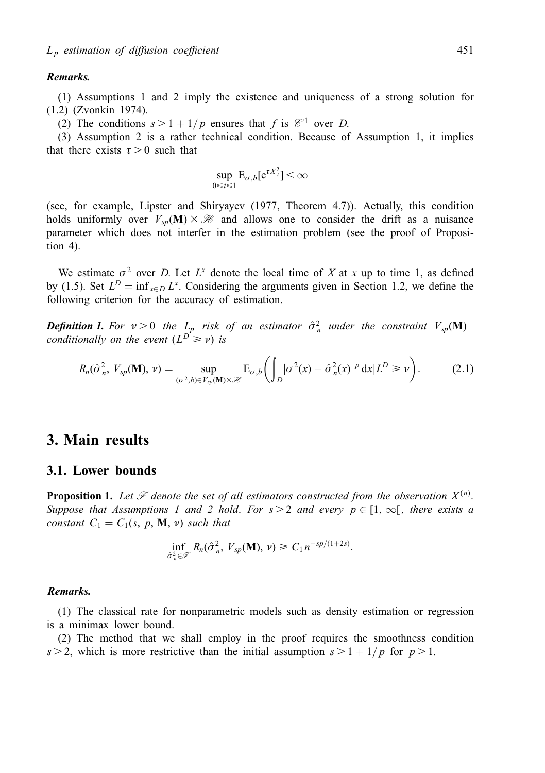#### Remarks.

(1) Assumptions 1 and 2 imply the existence and uniqueness of a strong solution for (1.2) (Zvonkin 1974).

(2) The conditions  $s > 1 + 1/p$  ensures that f is  $\mathcal{C}^1$  over D.

(3) Assumption 2 is a rather technical condition. Because of Assumption 1, it implies that there exists  $\tau > 0$  such that

$$
\sup_{0\leq t\leq 1} \mathbf{E}_{\sigma,b}[\mathbf{e}^{\tau X_{t}^{2}}]<\infty
$$

(see, for example, Lipster and Shiryayev (1977, Theorem 4.7)). Actually, this condition holds uniformly over  $V_{sp}(\mathbf{M}) \times \mathcal{H}$  and allows one to consider the drift as a nuisance parameter which does not interfer in the estimation problem (see the proof of Proposition 4).

We estimate  $\sigma^2$  over D. Let  $L^x$  denote the local time of X at x up to time 1, as defined by (1.5). Set  $L^D = \inf_{x \in D} L^x$ . Considering the arguments given in Section 1.2, we define the following criterion for the accuracy of estimation.

**Definition 1.** For  $v > 0$  the  $L_p$  risk of an estimator  $\hat{\sigma}_n^2$  under the constraint  $V_{sp}(\mathbf{M})$ conditionally on the event  $(L^D \ge v)$  is

$$
R_n(\hat{\sigma}_n^2, V_{sp}(\mathbf{M}), \nu) = \sup_{(\sigma^2, b) \in V_{sp}(\mathbf{M}) \times \mathcal{H}} \mathbf{E}_{\sigma, b} \bigg( \int_D |\sigma^2(x) - \hat{\sigma}_n^2(x)|^p dx | L^D \ge \nu \bigg). \tag{2.1}
$$

# 3. Main results

#### 3.1. Lower bounds

**Proposition 1.** Let  $\mathscr F$  denote the set of all estimators constructed from the observation  $X^{(n)}$ . Suppose that Assumptions 1 and 2 hold. For  $s > 2$  and every  $p \in [1, \infty)$ , there exists a constant  $C_1 = C_1(s, p, M, v)$  such that

$$
\inf_{\hat{\sigma}_n^2 \in \mathcal{F}} R_n(\hat{\sigma}_n^2, V_{sp}(\mathbf{M}), \nu) \geq C_1 n^{-sp/(1+2s)}.
$$

#### Remarks.

(1) The classical rate for nonparametric models such as density estimation or regression is a minimax lower bound.

(2) The method that we shall employ in the proof requires the smoothness condition  $s > 2$ , which is more restrictive than the initial assumption  $s > 1 + 1/p$  for  $p > 1$ .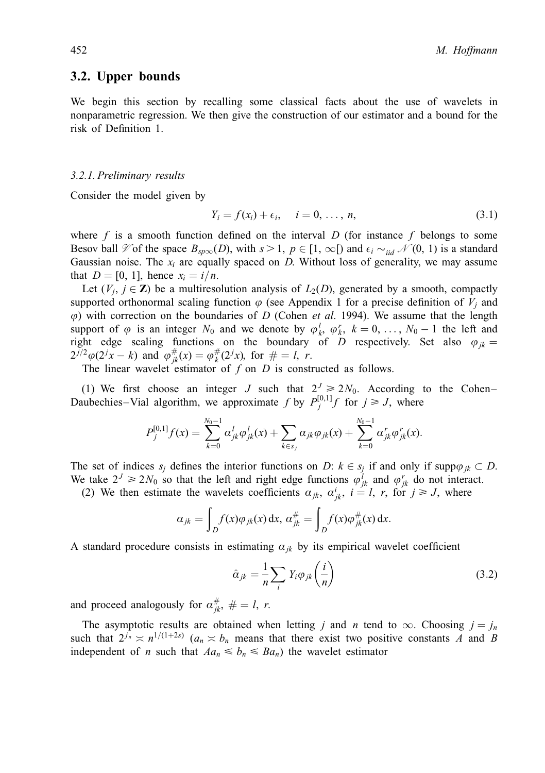## 3.2. Upper bounds

We begin this section by recalling some classical facts about the use of wavelets in nonparametric regression. We then give the construction of our estimator and a bound for the risk of Definition 1.

#### 3.2.1. Preliminary results

Consider the model given by

$$
Y_i = f(x_i) + \epsilon_i, \quad i = 0, \ldots, n,
$$
\n
$$
(3.1)
$$

where f is a smooth function defined on the interval D (for instance f belongs to some Besov ball  $\mathcal V$  of the space  $B_{\text{sp}\infty}(D)$ , with  $s > 1$ ,  $p \in [1, \infty[)$  and  $\epsilon_i \sim_{iid} \mathcal N(0, 1)$  is a standard Gaussian noise. The  $x_i$  are equally spaced on D. Without loss of generality, we may assume that  $D = [0, 1]$ , hence  $x_i = i/n$ .

Let  $(V_i, j \in \mathbb{Z})$  be a multiresolution analysis of  $L_2(D)$ , generated by a smooth, compactly supported orthonormal scaling function  $\varphi$  (see Appendix 1 for a precise definition of  $V_i$  and  $\varphi$ ) with correction on the boundaries of D (Cohen *et al.* 1994). We assume that the length support of  $\varphi$  is an integer  $N_0$  and we denote by  $\varphi_k^l$ ,  $\varphi_k^r$ ,  $k = 0, \ldots, N_0 - 1$  the left and right edge scaling functions on the boundary of D respectively. Set also  $\varphi_{jk} =$  $2^{j/2}\varphi(2^{j}x-k)$  and  $\varphi_{jk}^{\#}(x) = \varphi_{k}^{\#}(2^{j}x)$ , for  $\# = l, r$ .

The linear wavelet estimator of  $f$  on  $D$  is constructed as follows.

(1) We first choose an integer J such that  $2^J \ge 2N_0$ . According to the Cohen-Daubechies–Vial algorithm, we approximate f by  $P_j^{[0,1]}$  for  $j \ge J$ , where

$$
P_j^{[0,1]}f(x) = \sum_{k=0}^{N_0-1} \alpha_{jk}^l \varphi_{jk}^l(x) + \sum_{k \in s_j} \alpha_{jk} \varphi_{jk}(x) + \sum_{k=0}^{N_0-1} \alpha_{jk}^r \varphi_{jk}^r(x).
$$

The set of indices  $s_j$  defines the interior functions on D:  $k \in s_j$  if and only if supp $\varphi_{jk} \subset D$ . We take  $2^J \ge 2N_0$  so that the left and right edge functions  $\varphi_{jk}^l$  and  $\varphi_{jk}^r$  do not interact.

(2) We then estimate the wavelets coefficients  $a_{jk}$ ,  $a_{jk}^i$ ,  $i = l$ , r, for  $j \geq l$ , where

$$
\alpha_{jk} = \int_D f(x)\varphi_{jk}(x) dx, \, \alpha_{jk}^{\#} = \int_D f(x)\varphi_{jk}^{\#}(x) dx.
$$

A standard procedure consists in estimating  $a_{ik}$  by its empirical wavelet coefficient

$$
\hat{\alpha}_{jk} = \frac{1}{n} \sum_{i} Y_i \varphi_{jk} \left(\frac{i}{n}\right) \tag{3.2}
$$

and proceed analogously for  $\alpha_{jk}^{\#}$ ,  $\# = l$ , r.

The asymptotic results are obtained when letting j and n tend to  $\infty$ . Choosing  $j = j_n$ such that  $2^{j_n} \times n^{1/(1+2s)}$  ( $a_n \times b_n$  means that there exist two positive constants A and B independent of *n* such that  $Aa_n \leq b_n \leq Ba_n$ ) the wavelet estimator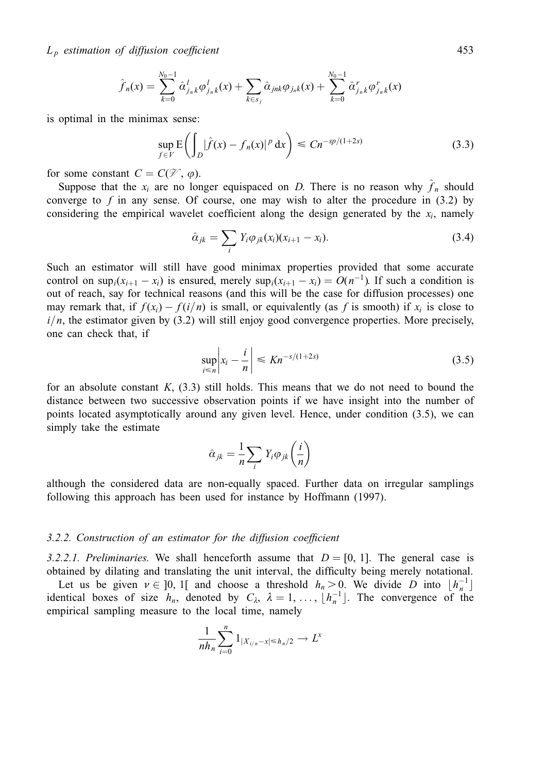$L_p$  estimation of diffusion coefficient 453

$$
\hat{f}_n(x) = \sum_{k=0}^{N_0-1} \hat{\alpha}_{j_n k}^l \varphi_{j_n k}^l(x) + \sum_{k \in s_j} \hat{\alpha}_{j n k} \varphi_{j_n k}(x) + \sum_{k=0}^{N_0-1} \hat{\alpha}_{j_n k}^r \varphi_{j_n k}^r(x)
$$

is optimal in the minimax sense:

$$
\sup_{f \in V} \mathcal{E} \left( \int_{D} |\hat{f}(x) - f_{n}(x)|^{p} dx \right) \le C n^{-sp/(1+2s)}
$$
\n(3.3)

for some constant  $C = C(\mathcal{V}, \varphi)$ .

Suppose that the  $x_i$  are no longer equispaced on D. There is no reason why  $\hat{f}_n$  should converge to  $f$  in any sense. Of course, one may wish to alter the procedure in  $(3.2)$  by considering the empirical wavelet coefficient along the design generated by the  $x_i$ , namely

$$
\hat{\alpha}_{jk} = \sum_{i} Y_i \varphi_{jk}(x_i)(x_{i+1} - x_i).
$$
\n(3.4)

Such an estimator will still have good minimax properties provided that some accurate control on  $\sup_i(x_{i+1} - x_i)$  is ensured, merely  $\sup_i(x_{i+1} - x_i) = O(n^{-1})$ . If such a condition is out of reach, say for technical reasons (and this will be the case for diffusion processes) one may remark that, if  $f(x_i) - f(i/n)$  is small, or equivalently (as f is smooth) if  $x_i$  is close to  $i/n$ , the estimator given by (3.2) will still enjoy good convergence properties. More precisely, one can check that, if

$$
\sup_{i \le n} \left| x_i - \frac{i}{n} \right| \le Kn^{-s/(1+2s)} \tag{3.5}
$$

for an absolute constant  $K$ , (3.3) still holds. This means that we do not need to bound the distance between two successive observation points if we have insight into the number of points located asymptotically around any given level. Hence, under condition (3.5), we can simply take the estimate

$$
\hat{\alpha}_{jk} = \frac{1}{n} \sum_{i} Y_i \varphi_{jk} \left( \frac{i}{n} \right)
$$

although the considered data are non-equally spaced. Further data on irregular samplings following this approach has been used for instance by Hoffmann (1997).

#### $3.2.2.$  Construction of an estimator for the diffusion coefficient

3.2.2.1. Preliminaries. We shall henceforth assume that  $D = [0, 1]$ . The general case is obtained by dilating and translating the unit interval, the difficulty being merely notational.

Let us be given  $v \in ]0, 1[$  and choose a threshold  $h_n > 0$ . We divide D into  $\lfloor h_n^{-1} \rfloor$ identical boxes of size  $h_n$ , denoted by  $C_\lambda$ ,  $\lambda = 1, \ldots, \lfloor h_n^{-1} \rfloor$ . The convergence of the empirical sampling measure to the local time, namely

$$
\frac{1}{nh_n}\sum_{i=0}^n 1_{|X_{i/n}-x|\leq h_n/2} \to L^x
$$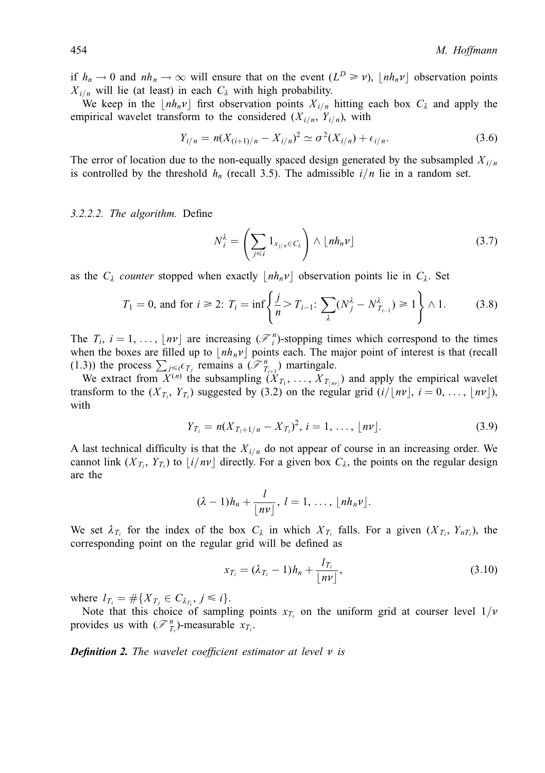if  $h_n \to 0$  and  $nh_n \to \infty$  will ensure that on the event  $(L^D \ge \nu)$ ,  $|h_n \nu|$  observation points  $X_{i/n}$  will lie (at least) in each  $C_{\lambda}$  with high probability.

We keep in the  $|nh_n\nu|$  first observation points  $X_{i,n}$  hitting each box  $C_{\lambda}$  and apply the empirical wavelet transform to the considered  $(X_{i/n}, Y_{i/n})$ , with

$$
Y_{i/n} = n(X_{(i+1)/n} - X_{i/n})^2 \simeq \sigma^2(X_{i/n}) + \epsilon_{i/n}.
$$
 (3.6)

The error of location due to the non-equally spaced design generated by the subsampled  $X_{i/n}$ is controlled by the threshold  $h_n$  (recall 3.5). The admissible  $i/n$  lie in a random set.

#### $3.2.2.2$ . The algorithm. Define

$$
N_i^{\lambda} = \left(\sum_{j \leq i} 1_{x_{j/n} \in C_{\lambda}}\right) \wedge \lfloor nh_n \nu \rfloor \tag{3.7}
$$

as the  $C_{\lambda}$  counter stopped when exactly  $\vert nh_n\nu\vert$  observation points lie in  $C_{\lambda}$ . Set

$$
T_1 = 0
$$
, and for  $i \ge 2$ :  $T_i = \inf \left\{ \frac{j}{n} > T_{i-1} \colon \sum_{\lambda} (N_j^{\lambda} - N_{T_{i-1}}^{\lambda}) \ge 1 \right\} \wedge 1.$  (3.8)

The  $T_i$ ,  $i = 1, \ldots, \lfloor nv \rfloor$  are increasing  $(\mathcal{F}_i^n)$ -stopping times which correspond to the times when the boxes are filled up to  $\vert nh_n\nu\vert$  points each. The major point of interest is that (recall (1.3)) the process  $\sum_{j \leq i \in T_j}$  remains a  $(\mathcal{F}_{T_{i+1}}^n)$  martingale.

We extract from  $X^{(n)}$  the subsampling  $(X_{T_1}, \ldots, X_{T_{1m'}})$  and apply the empirical wavelet transform to the  $(X_{T_i}, Y_{T_i})$  suggested by (3.2) on the regular grid  $(i/ \lfloor nv \rfloor, i = 0, \ldots, \lfloor nv \rfloor)$ , with

$$
Y_{T_i} = n(X_{T_i+1/n} - X_{T_i})^2, \, i = 1, \ldots, \lfloor n \nu \rfloor. \tag{3.9}
$$

A last technical difficulty is that the  $X_{i,n}$  do not appear of course in an increasing order. We cannot link  $(X_{T_i}, Y_{T_i})$  to  $\lfloor i/nv \rfloor$  directly. For a given box  $C_\lambda$ , the points on the regular design are the

$$
(\lambda-1)h_n+\frac{l}{\lfloor nv\rfloor}, l=1,\ldots,\lfloor nh_n v\rfloor.
$$

We set  $\lambda_{T_i}$  for the index of the box  $C_\lambda$  in which  $X_{T_i}$  falls. For a given  $(X_{T_i}, Y_{nT_i})$ , the corresponding point on the regular grid will be defined as

$$
x_{T_i} = (\lambda_{T_i} - 1)h_n + \frac{l_{T_i}}{\lfloor nv \rfloor},
$$
\n(3.10)

where  $l_{T_i} = \# \{ X_{T_j} \in C_{\lambda_{T_i}}, j \leq i \}.$ 

Note that this choice of sampling points  $x_{T_i}$  on the uniform grid at courser level  $1/\nu$ provides us with  $(\mathcal{F}_{T_i}^n)$ -measurable  $x_{T_i}$ .

**Definition 2.** The wavelet coefficient estimator at level  $\nu$  is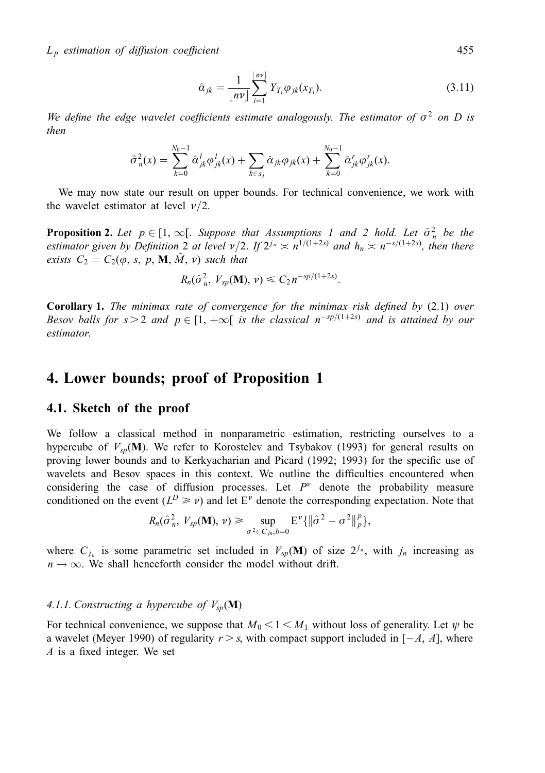$L_p$  estimation of diffusion coefficient 455

$$
\hat{\alpha}_{jk} = \frac{1}{\lfloor nv \rfloor} \sum_{i=1}^{\lfloor nv \rfloor} Y_{T_i} \varphi_{jk}(x_{T_i}).
$$
\n(3.11)

We define the edge wavelet coefficients estimate analogously. The estimator of  $\sigma^2$  on D is then

$$
\hat{\sigma}_n^2(x) = \sum_{k=0}^{N_0-1} \hat{\alpha}_{jk}^l \varphi_{jk}^l(x) + \sum_{k \in s_j} \hat{\alpha}_{jk} \varphi_{jk}(x) + \sum_{k=0}^{N_0-1} \hat{\alpha}_{jk}^r \varphi_{jk}^r(x).
$$

We may now state our result on upper bounds. For technical convenience, we work with the wavelet estimator at level  $\nu/2$ .

**Proposition 2.** Let  $p \in [1, \infty[$ . Suppose that Assumptions 1 and 2 hold. Let  $\hat{\sigma}_n^2$  be the estimator given by Definition 2 at level  $\nu/2$ . If  $2^{j_n} \approx n^{1/(1+2s)}$  and  $h_n \approx n^{-s/(1+2s)}$ , then there exists  $C_2 = C_2(\varphi, s, p, M, \tilde{M}, \nu)$  such that

$$
R_n(\hat{\sigma}_n^2, V_{sp}(\mathbf{M}), \nu) \leq C_2 n^{-sp/(1+2s)}.
$$

**Corollary 1.** The minimax rate of convergence for the minimax risk defined by  $(2.1)$  over Besov balls for  $s > 2$  and  $p \in [1, +\infty[$  is the classical  $n^{-sp/(1+2s)}$  and is attained by our estimator.

# 4. Lower bounds; proof of Proposition 1

#### 4.1. Sketch of the proof

We follow a classical method in nonparametric estimation, restricting ourselves to a hypercube of  $V_{so}(\mathbf{M})$ . We refer to Korostelev and Tsybakov (1993) for general results on proving lower bounds and to Kerkyacharian and Picard (1992; 1993) for the specific use of wavelets and Besov spaces in this context. We outline the difficulties encountered when considering the case of diffusion processes. Let  $P<sup>v</sup>$  denote the probability measure conditioned on the event ( $L^D \ge \nu$ ) and let E<sup> $\nu$ </sup> denote the corresponding expectation. Note that

$$
R_n(\hat{\sigma}_n^2, V_{sp}(\mathbf{M}), \nu) \ge \sup_{\sigma^2 \in C_{jn}, b=0} \mathbb{E}^{\nu} \{ \|\hat{\sigma}^2 - \sigma^2\|_p^p \},\
$$

where  $C_{i_n}$  is some parametric set included in  $V_{sp}(\mathbf{M})$  of size  $2^{j_n}$ , with  $j_n$  increasing as  $n \rightarrow \infty$ . We shall henceforth consider the model without drift.

## 4.1.1. Constructing a hypercube of  $V_{sp}(\mathbf{M})$

For technical convenience, we suppose that  $M_0 < 1 < M_1$  without loss of generality. Let  $\psi$  be a wavelet (Meyer 1990) of regularity  $r > s$ , with compact support included in  $[-A, A]$ , where A is a fixed integer. We set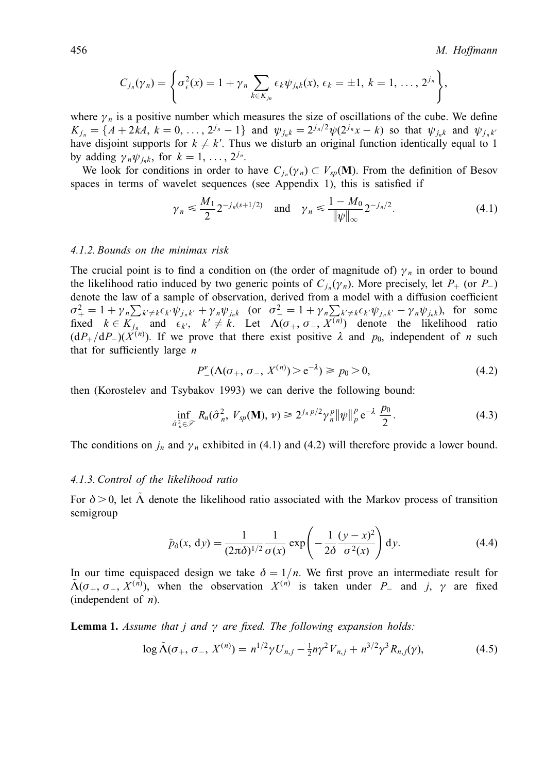$$
C_{j_n}(\gamma_n) = \left\{ \sigma_\epsilon^2(x) = 1 + \gamma_n \sum_{k \in K_{j_n}} \epsilon_k \psi_{j_n k}(x), \, \epsilon_k = \pm 1, \, k = 1, \, \ldots, \, 2^{j_n} \right\},
$$

where  $\gamma_n$  is a positive number which measures the size of oscillations of the cube. We define  $K_{i_n} = \{A + 2kA, k = 0, \ldots, 2^{j_n} - 1\}$  and  $\psi_{i_n k} = 2^{j_n/2} \psi(2^{j_n} x - k)$  so that  $\psi_{i_n k}$  and  $\psi_{i_n k}$ have disjoint supports for  $k \neq k'$ . Thus we disturb an original function identically equal to 1 by adding  $\gamma_n \psi_{i,k}$ , for  $k = 1, \ldots, 2^{j_n}$ .

We look for conditions in order to have  $C_{i_n}(\gamma_n) \subset V_{sp}(\mathbf{M})$ . From the definition of Besov spaces in terms of wavelet sequences (see Appendix 1), this is satisfied if

$$
\gamma_n \le \frac{M_1}{2} 2^{-j_n(s+1/2)}
$$
 and  $\gamma_n \le \frac{1 - M_0}{\|\psi\|_{\infty}} 2^{-j_n/2}.$  (4.1)

#### 4.1.2. Bounds on the minimax risk

The crucial point is to find a condition on (the order of magnitude of)  $\gamma_n$  in order to bound the likelihood ratio induced by two generic points of  $C_{i_n}(\gamma_n)$ . More precisely, let  $P_+$  (or  $P_+$ ) denote the law of a sample of observation, derived from a model with a diffusion coefficient  $\sigma_+^2 = 1 + \gamma_n \sum_{k' \neq k} \epsilon_{k'} \psi_{j_n k'} + \gamma_n \psi_{j_n k}$  (or  $\sigma_-^2 = 1 + \gamma_n \sum_{k' \neq k} \epsilon_{k'} \psi_{j_n k'} - \gamma_n \psi_{j_n k}$ ), for some fixed  $k \in K_{j_n}$  and  $\epsilon_{k'}, k' \neq k$ . Let  $\Lambda(\sigma_+, \sigma_-, X^{(n)})$  denote the likelihood ratio  $(dP_{+}/dP_{-})(X^{(n)})$ . If we prove that there exist positive  $\lambda$  and  $p_0$ , independent of n such that for sufficiently large  $n$ 

$$
P_{-}^{\nu}(\Lambda(\sigma_{+}, \sigma_{-}, X^{(n)}) > e^{-\lambda}) \ge p_0 > 0,
$$
\n(4.2)

then (Korostelev and Tsybakov 1993) we can derive the following bound:

$$
\inf_{\hat{\sigma}_n^2 \in \mathcal{F}} R_n(\hat{\sigma}_n^2, V_{sp}(\mathbf{M}), \nu) \ge 2^{j_n p/2} \gamma_n^p \|\psi\|_p^p e^{-\lambda} \frac{p_0}{2}.
$$
 (4.3)

The conditions on  $j_n$  and  $\gamma_n$  exhibited in (4.1) and (4.2) will therefore provide a lower bound.

#### 4.1.3. Control of the likelihood ratio

For  $\delta > 0$ , let  $\Lambda$  denote the likelihood ratio associated with the Markov process of transition semigroup

$$
\tilde{p}_{\delta}(x, dy) = \frac{1}{(2\pi\delta)^{1/2}} \frac{1}{\sigma(x)} \exp\left(-\frac{1}{2\delta} \frac{(y-x)^2}{\sigma^2(x)}\right) dy.
$$
\n(4.4)

In our time equispaced design we take  $\delta = 1/n$ . We first prove an intermediate result for  $\tilde{\Lambda}(\sigma_+, \sigma_-, X^{(n)})$ , when the observation  $X^{(n)}$  is taken under P<sub>-</sub> and j,  $\gamma$  are fixed (independent of  $n$ ).

**Lemma 1.** Assume that j and  $\gamma$  are fixed. The following expansion holds:

$$
\log \tilde{\Lambda}(\sigma_+, \sigma_-, X^{(n)}) = n^{1/2} \gamma U_{n,j} - \frac{1}{2} n \gamma^2 V_{n,j} + n^{3/2} \gamma^3 R_{n,j}(\gamma), \tag{4.5}
$$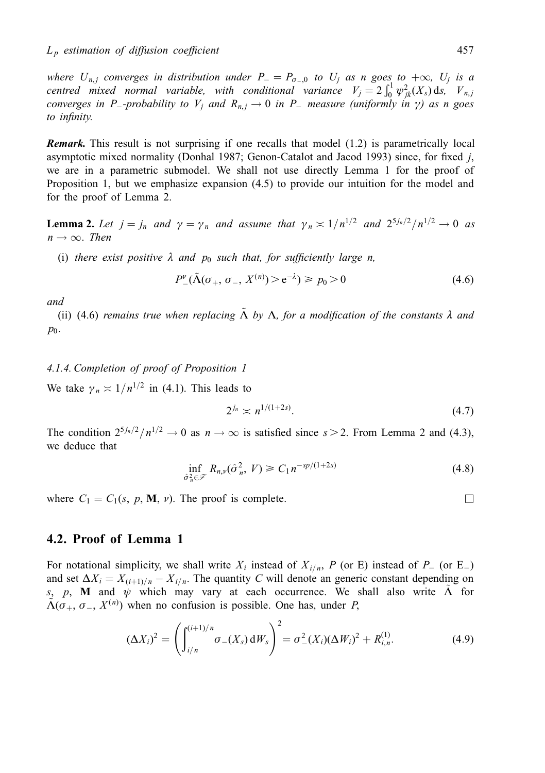where  $U_{n,j}$  converges in distribution under  $P_+ = P_{\sigma_0}$  to  $U_j$  as n goes to  $+\infty$ ,  $U_j$  is a centred mixed normal variable, with conditional variance  $V_j = 2 \int_0^1 \psi_{jk}^2(X_s) ds$ ,  $V_{n,j}$ converges in P<sub>-</sub>probability to V<sub>i</sub> and  $R_{n,i} \to 0$  in P<sub>-</sub> measure (uniformly in  $\gamma$ ) as n goes to infinity.

Remark. This result is not surprising if one recalls that model (1.2) is parametrically local asymptotic mixed normality (Donhal 1987; Genon-Catalot and Jacod 1993) since, for fixed  $j$ , we are in a parametric submodel. We shall not use directly Lemma 1 for the proof of Proposition 1, but we emphasize expansion (4.5) to provide our intuition for the model and for the proof of Lemma 2.

**Lemma 2.** Let  $j = j_n$  and  $\gamma = \gamma_n$  and assume that  $\gamma_n \approx 1/n^{1/2}$  and  $2^{5j_n/2}/n^{1/2} \rightarrow 0$  as  $n \rightarrow \infty$ . Then

(i) there exist positive  $\lambda$  and  $p_0$  such that, for sufficiently large n,

$$
P_{-}^{v}(\tilde{\Lambda}(\sigma_{+}, \sigma_{-}, X^{(n)}) > e^{-\lambda}) \ge p_{0} > 0
$$
\n(4.6)

and

(ii) (4.6) remains true when replacing  $\Lambda$  by  $\Lambda$ , for a modification of the constants  $\lambda$  and  $p_0$ .

#### 4.1.4. Completion of proof of Proposition 1

We take  $\gamma_n \approx 1/n^{1/2}$  in (4.1). This leads to

$$
2^{j_n} \asymp n^{1/(1+2s)}.\tag{4.7}
$$

The condition  $2^{5j_n/2}/n^{1/2} \to 0$  as  $n \to \infty$  is satisfied since  $s > 2$ . From Lemma 2 and (4.3), we deduce that

$$
\inf_{\hat{\sigma}_n^2 \in \mathcal{F}} R_{n,\nu}(\hat{\sigma}_n^2, V) \ge C_1 n^{-sp/(1+2s)}
$$
\n(4.8)

where  $C_1 = C_1(s, p, \mathbf{M}, \nu)$ . The proof is complete.

#### 4.2. Proof of Lemma 1

For notational simplicity, we shall write  $X_i$  instead of  $X_{i/n}$ , P (or E) instead of  $P_i$  (or E) and set  $\Delta X_i = X_{(i+1)/n} - X_{i/n}$ . The quantity C will denote an generic constant depending on s, p, M and  $\psi$  which may vary at each occurrence. We shall also write  $\Lambda$  for  $\tilde{\Lambda}(\sigma_+, \sigma_-, X^{(n)})$  when no confusion is possible. One has, under P,

$$
(\Delta X_i)^2 = \left( \int_{i/n}^{(i+1)/n} \sigma_-(X_s) dW_s \right)^2 = \sigma_-^2(X_i) (\Delta W_i)^2 + R_{i,n}^{(1)}.
$$
 (4.9)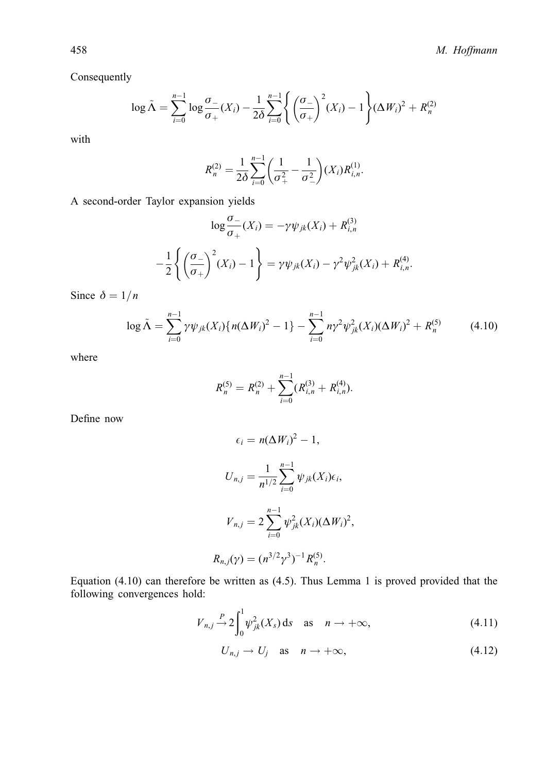Consequently

$$
\log \tilde{\Lambda} = \sum_{i=0}^{n-1} \log \frac{\sigma_{-}}{\sigma_{+}}(X_i) - \frac{1}{2\delta} \sum_{i=0}^{n-1} \left\{ \left( \frac{\sigma_{-}}{\sigma_{+}} \right)^2 (X_i) - 1 \right\} (\Delta W_i)^2 + R_n^{(2)}
$$

with

$$
R_n^{(2)} = \frac{1}{2\delta} \sum_{i=0}^{n-1} \left( \frac{1}{\sigma_+^2} - \frac{1}{\sigma_-^2} \right) (X_i) R_{i,n}^{(1)}.
$$

A second-order Taylor expansion yields

$$
\log \frac{\sigma_{-}}{\sigma_{+}}(X_{i}) = -\gamma \psi_{jk}(X_{i}) + R_{i,n}^{(3)}
$$

$$
-\frac{1}{2} \left\{ \left( \frac{\sigma_{-}}{\sigma_{+}} \right)^{2} (X_{i}) - 1 \right\} = \gamma \psi_{jk}(X_{i}) - \gamma^{2} \psi_{jk}^{2}(X_{i}) + R_{i,n}^{(4)}.
$$

Since  $\delta = 1/n$ 

$$
\log \tilde{\Lambda} = \sum_{i=0}^{n-1} \gamma \psi_{jk}(X_i) \{ n(\Delta W_i)^2 - 1 \} - \sum_{i=0}^{n-1} n \gamma^2 \psi_{jk}^2(X_i) (\Delta W_i)^2 + R_n^{(5)} \tag{4.10}
$$

where

$$
R_n^{(5)} = R_n^{(2)} + \sum_{i=0}^{n-1} (R_{i,n}^{(3)} + R_{i,n}^{(4)}).
$$

Define now

$$
\epsilon_i = n(\Delta W_i)^2 - 1,
$$
  
\n
$$
U_{n,j} = \frac{1}{n^{1/2}} \sum_{i=0}^{n-1} \psi_{jk}(X_i) \epsilon_i,
$$
  
\n
$$
V_{n,j} = 2 \sum_{i=0}^{n-1} \psi_{jk}^2(X_i) (\Delta W_i)^2,
$$
  
\n
$$
R_{n,j}(\gamma) = (n^{3/2} \gamma^3)^{-1} R_n^{(5)}.
$$

Equation (4.10) can therefore be written as (4.5). Thus Lemma 1 is proved provided that the following convergences hold:

$$
V_{n,j} \xrightarrow{P} 2 \int_0^1 \psi_{jk}^2(X_s) \, \mathrm{d} s \quad \text{as} \quad n \to +\infty,\tag{4.11}
$$

$$
U_{n,j} \to U_j \quad \text{as} \quad n \to +\infty,\tag{4.12}
$$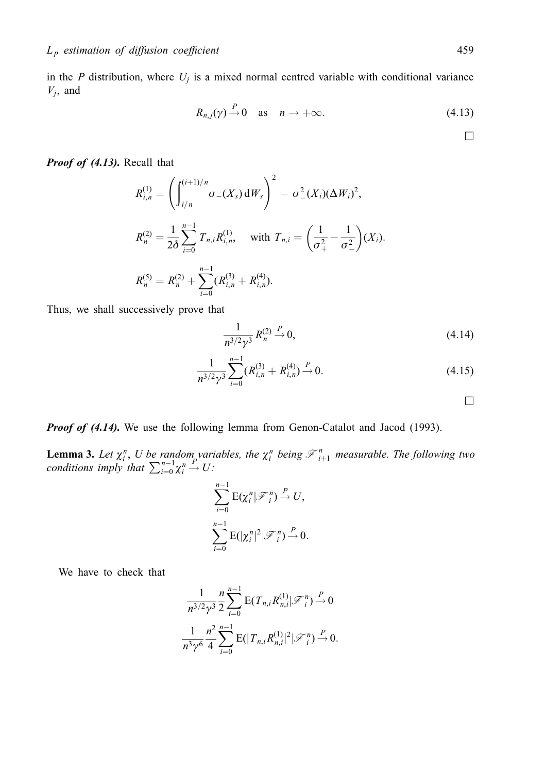in the  $P$  distribution, where  $U_j$  is a mixed normal centred variable with conditional variance  $V_j$ , and

$$
R_{n,j}(\gamma) \stackrel{P}{\rightarrow} 0 \quad \text{as} \quad n \to +\infty. \tag{4.13}
$$

Proof of (4.13). Recall that

$$
R_{i,n}^{(1)} = \left( \int_{i/n}^{(i+1)/n} \sigma_{-}(X_s) dW_s \right)^2 - \sigma_{-}^2(X_i) (\Delta W_i)^2,
$$
  
\n
$$
R_n^{(2)} = \frac{1}{2\delta} \sum_{i=0}^{n-1} T_{n,i} R_{i,n}^{(1)}, \text{ with } T_{n,i} = \left( \frac{1}{\sigma_+^2} - \frac{1}{\sigma_-^2} \right) (X_i).
$$
  
\n
$$
R_n^{(5)} = R_n^{(2)} + \sum_{i=0}^{n-1} (R_{i,n}^{(3)} + R_{i,n}^{(4)}).
$$

Thus, we shall successively prove that

$$
\frac{1}{n^{3/2}\gamma^3} R_n^{(2)} \xrightarrow{P} 0,\tag{4.14}
$$

$$
\frac{1}{n^{3/2}\gamma^3} \sum_{i=0}^{n-1} (R_{i,n}^{(3)} + R_{i,n}^{(4)}) \stackrel{P}{\to} 0. \tag{4.15}
$$

**Proof of (4.14).** We use the following lemma from Genon-Catalot and Jacod (1993).

**Lemma 3.** Let  $\chi_i^n$ , U be random variables, the  $\chi_i^n$  being  $\mathcal{F}_{i+1}^n$  measurable. The following two conditions imply that  $\sum_{i=0}^{n-1} \chi_i^n \stackrel{P}{\to} U$ :

$$
\sum_{i=0}^{n-1} \mathbf{E}(\chi_i^n | \mathcal{F}_i^n) \xrightarrow{P} U,
$$
  

$$
\sum_{i=0}^{n-1} \mathbf{E}(|\chi_i^n|^2 | \mathcal{F}_i^n) \xrightarrow{P} 0.
$$

We have to check that

$$
\frac{1}{n^{3/2}\gamma^3} \frac{n}{2} \sum_{i=0}^{n-1} \mathbf{E}(T_{n,i}R_{n,i}^{(1)}|\mathcal{F}_i^n) \stackrel{P}{\to} 0
$$
  

$$
\frac{1}{n^3\gamma^6} \frac{n^2}{4} \sum_{i=0}^{n-1} \mathbf{E}(|T_{n,i}R_{n,i}^{(1)}|^2|\mathcal{F}_i^n) \stackrel{P}{\to} 0.
$$

 $\Box$ 

 $\Box$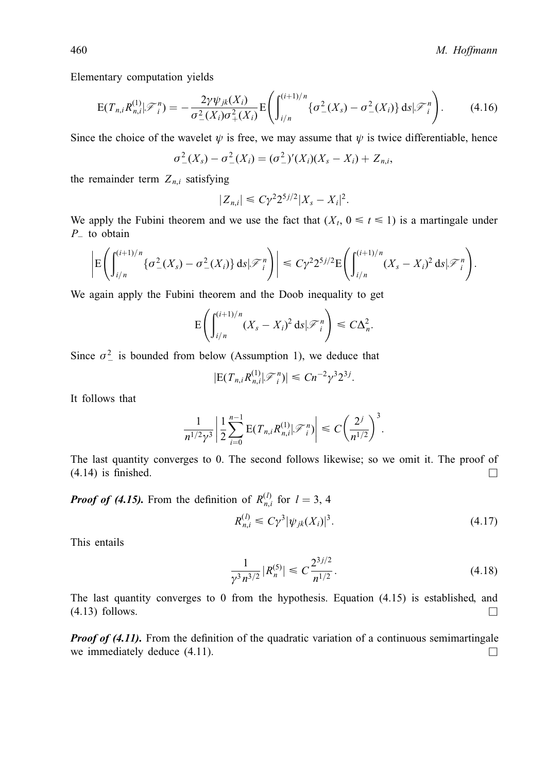Elementary computation yields

$$
E(T_{n,i}R_{n,i}^{(1)}|\mathcal{F}_{i}^{n})=-\frac{2\gamma\psi_{jk}(X_{i})}{\sigma_{-}^{2}(X_{i})\sigma_{+}^{2}(X_{i})}E\left(\int_{i/n}^{(i+1)/n}\{\sigma_{-}^{2}(X_{s})-\sigma_{-}^{2}(X_{i})\}\,ds|\mathcal{F}_{i}^{n}\right).
$$
(4.16)

Since the choice of the wavelet  $\psi$  is free, we may assume that  $\psi$  is twice differentiable, hence

$$
\sigma_{-}^{2}(X_{s}) - \sigma_{-}^{2}(X_{i}) = (\sigma_{-}^{2})'(X_{i})(X_{s} - X_{i}) + Z_{n,i},
$$

the remainder term  $Z_{n,i}$  satisfying

$$
|Z_{n,i}| \leq C\gamma^2 2^{5j/2} |X_s - X_i|^2.
$$

We apply the Fubini theorem and we use the fact that  $(X_t, 0 \le t \le 1)$  is a martingale under  $P_{-}$  to obtain

$$
\left| \mathbb{E} \left( \int_{i/n}^{(i+1)/n} \{ \sigma_-^2(X_s) - \sigma_-^2(X_i) \} ds | \mathcal{F}_i^n \right) \right| \leq C \gamma^2 2^{5j/2} \mathbb{E} \left( \int_{i/n}^{(i+1)/n} (X_s - X_i)^2 ds | \mathcal{F}_i^n \right).
$$

We again apply the Fubini theorem and the Doob inequality to get

$$
\mathrm{E}\!\left(\int_{i/n}^{(i+1)/n}(X_s-X_i)^2\,\mathrm{d} s\vert\mathcal{F}_i^n\right)\leq C\Delta_n^2.
$$

Since  $\sigma^2$  is bounded from below (Assumption 1), we deduce that

$$
|\mathbf{E}(T_{n,i}R_{n,i}^{(1)}|\mathcal{F}_i^n)| \leq Cn^{-2}\gamma^3 2^{3j}.
$$

It follows that

$$
\frac{1}{n^{1/2}\gamma^3} \left| \frac{1}{2} \sum_{i=0}^{n-1} \mathrm{E}(T_{n,i} R_{n,i}^{(1)} | \mathcal{F}_i^n) \right| \leq C \left( \frac{2^j}{n^{1/2}} \right)^3.
$$

The last quantity converges to 0. The second follows likewise; so we omit it. The proof of  $(4.14)$  is finished.

**Proof of (4.15).** From the definition of  $R_{n,i}^{(l)}$  for  $l = 3, 4$ 

$$
R_{n,i}^{(l)} \le C\gamma^3 |\psi_{jk}(X_i)|^3.
$$
\n(4.17)

This entails

$$
\frac{1}{\gamma^3 n^{3/2}} |R_n^{(5)}| \leq C \frac{2^{3j/2}}{n^{1/2}}.
$$
\n(4.18)

The last quantity converges to 0 from the hypothesis. Equation (4.15) is established, and  $(4.13)$  follows.

**Proof of (4.11).** From the definition of the quadratic variation of a continuous semimartingale we immediately deduce  $(4.11)$ .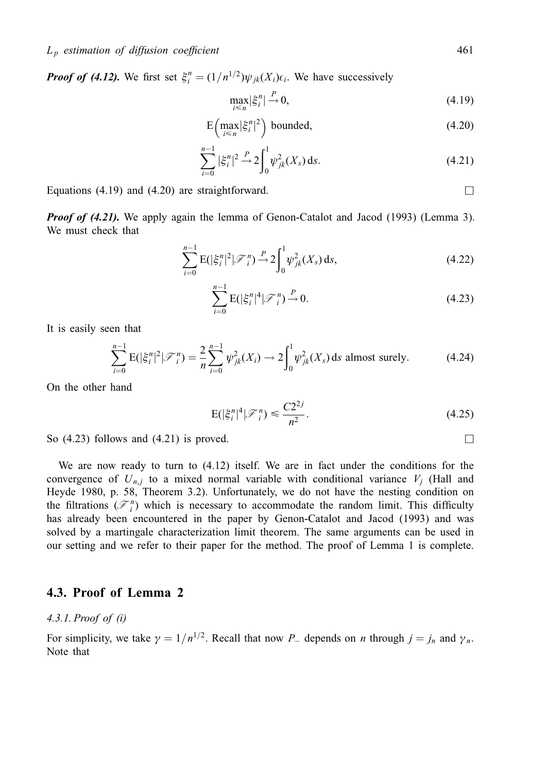**Proof of (4.12).** We first set  $\xi_i^n = (1/n^{1/2})\psi_{jk}(X_i)\epsilon_i$ . We have successively

$$
\max_{i \le n} |\xi_i^n| \stackrel{P}{\to} 0,\tag{4.19}
$$

$$
E\left(\max_{i\leq n} |\xi_i^n|^2\right) bounded,\tag{4.20}
$$

$$
\sum_{i=0}^{n-1} |\xi_i^n|^2 \stackrel{P}{\to} 2 \int_0^1 \psi_{jk}^2(X_s) \, \mathrm{d} s. \tag{4.21}
$$

Equations (4.19) and (4.20) are straightforward.  $\Box$ 

**Proof of (4.21).** We apply again the lemma of Genon-Catalot and Jacod (1993) (Lemma 3). We must check that

$$
\sum_{i=0}^{n-1} \mathcal{E}(|\xi_i^n|^2 | \mathcal{F}_i^n) \stackrel{P}{\to} 2 \int_0^1 \psi_{jk}^2(X_s) \, ds,
$$
\n(4.22)

$$
\sum_{i=0}^{n-1} \mathcal{E}(|\xi_i^n|^4 | \mathcal{F}_i^n) \xrightarrow{P} 0. \tag{4.23}
$$

It is easily seen that

$$
\sum_{i=0}^{n-1} \mathbb{E}(|\xi_i^n|^2 | \mathcal{F}_i^n) = \frac{2}{n} \sum_{i=0}^{n-1} \psi_{jk}^2(X_i) \to 2 \int_0^1 \psi_{jk}^2(X_s) \, \text{d}s \text{ almost surely.} \tag{4.24}
$$

On the other hand

$$
E(|\xi_i^n|^4|\mathcal{F}_i^n) \leq \frac{C2^{2j}}{n^2}.
$$
\n(4.25)

So  $(4.23)$  follows and  $(4.21)$  is proved.

We are now ready to turn to (4.12) itself. We are in fact under the conditions for the convergence of  $U_{n,i}$  to a mixed normal variable with conditional variance  $V_i$  (Hall and Heyde 1980, p. 58, Theorem 3.2). Unfortunately, we do not have the nesting condition on the filtrations  $(\mathcal{F}_{i}^{n})$  which is necessary to accommodate the random limit. This difficulty has already been encountered in the paper by Genon-Catalot and Jacod (1993) and was solved by a martingale characterization limit theorem. The same arguments can be used in our setting and we refer to their paper for the method. The proof of Lemma 1 is complete.

## 4.3. Proof of Lemma 2

#### 4.3.1. Proof of (i)

For simplicity, we take  $\gamma = 1/n^{1/2}$ . Recall that now P<sub>-</sub> depends on n through  $j = j_n$  and  $\gamma_n$ . Note that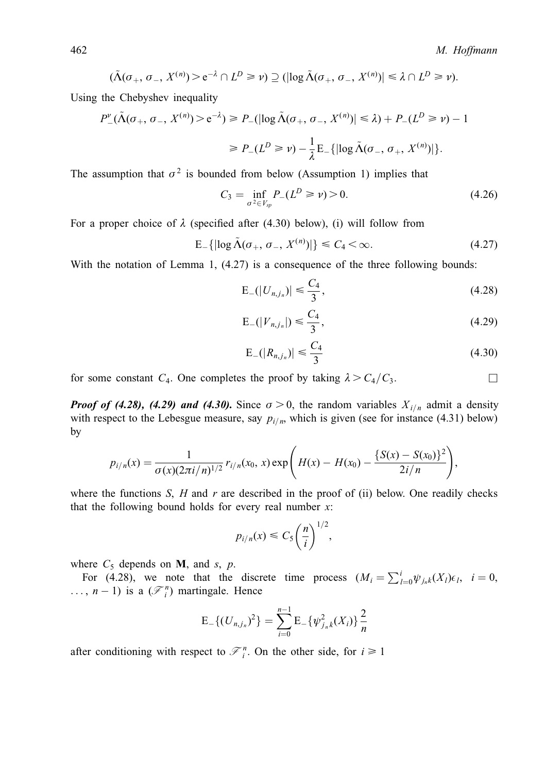$$
(\tilde{\Lambda}(\sigma_+, \sigma_-, X^{(n)}) > e^{-\lambda} \cap L^D \ge \nu) \supseteq (|\log \tilde{\Lambda}(\sigma_+, \sigma_-, X^{(n)})| \le \lambda \cap L^D \ge \nu).
$$

Using the Chebyshev inequality

$$
P_{-}^{v}(\tilde{\Lambda}(\sigma_{+}, \sigma_{-}, X^{(n)}) > e^{-\lambda}) \ge P_{-}(|\log \tilde{\Lambda}(\sigma_{+}, \sigma_{-}, X^{(n)})| \le \lambda) + P_{-}(L^{D} \ge \nu) - 1
$$
  

$$
\ge P_{-}(L^{D} \ge \nu) - \frac{1}{\lambda} E_{-}(|\log \tilde{\Lambda}(\sigma_{-}, \sigma_{+}, X^{(n)})|).
$$

The assumption that  $\sigma^2$  is bounded from below (Assumption 1) implies that

$$
C_3 = \inf_{\sigma^2 \in V_{sp}} P_{-}(L^D \ge \nu) > 0. \tag{4.26}
$$

For a proper choice of  $\lambda$  (specified after (4.30) below), (i) will follow from

$$
E_{-}\{|log \tilde{\Lambda}(\sigma_{+}, \sigma_{-}, X^{(n)})|\} \leq C_{4} < \infty.
$$
 (4.27)

With the notation of Lemma 1,  $(4.27)$  is a consequence of the three following bounds:

$$
E_{-}(|U_{n,j_n})| \leq \frac{C_4}{3},\tag{4.28}
$$

$$
E_{-}(|V_{n,j_n}|) \le \frac{C_4}{3},\tag{4.29}
$$

$$
E_{-}(|R_{n,j_n})| \leq \frac{C_4}{3}
$$
\n(4.30)

for some constant  $C_4$ . One completes the proof by taking  $\lambda > C_4/C_3$ .

**Proof of (4.28), (4.29) and (4.30).** Since  $\sigma > 0$ , the random variables  $X_{i/n}$  admit a density with respect to the Lebesgue measure, say  $p_{i/n}$ , which is given (see for instance (4.31) below) by

$$
p_{i/n}(x) = \frac{1}{\sigma(x)(2\pi i/n)^{1/2}} r_{i/n}(x_0, x) \exp\left(H(x) - H(x_0) - \frac{\{S(x) - S(x_0)\}^2}{2i/n}\right),
$$

where the functions  $S$ ,  $H$  and  $r$  are described in the proof of (ii) below. One readily checks that the following bound holds for every real number  $x$ :

$$
p_{i/n}(x) \leq C_5 \left(\frac{n}{i}\right)^{1/2},
$$

where  $C_5$  depends on **M**, and *s*, *p*.

For (4.28), we note that the discrete time process  $(M_i = \sum_{l=0}^{i} \psi_{j,k}(X_l) \epsilon_l, i = 0,$  $\ldots$ ,  $n-1$ ) is a  $(\mathcal{F}_{i}^{n})$  martingale. Hence

$$
\mathcal{E}_{-}\{(U_{n,j_n})^2\} = \sum_{i=0}^{n-1} \mathcal{E}_{-}\{\psi_{j_n,k}^2(X_i)\}\frac{2}{n}
$$

after conditioning with respect to  $\mathcal{F}_i^n$ . On the other side, for  $i \ge 1$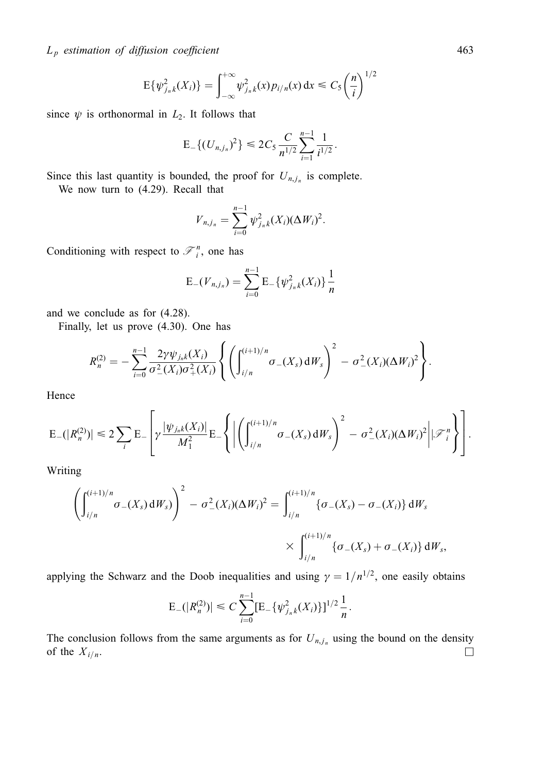$L_p$  estimation of diffusion coefficient 463

$$
E{\psi_{j_nk}^2(X_i)} = \int_{-\infty}^{+\infty} \psi_{j_nk}^2(x) p_{i/n}(x) dx \leq C_5 \left(\frac{n}{i}\right)^{1/2}
$$

since  $\psi$  is orthonormal in  $L_2$ . It follows that

$$
\mathsf{E}_{-}\{(U_{n,j_n})^2\}\leq 2C_5\frac{C}{n^{1/2}}\sum_{i=1}^{n-1}\frac{1}{i^{1/2}}.
$$

Since this last quantity is bounded, the proof for  $U_{n,j_n}$  is complete.

We now turn to (4.29). Recall that

$$
V_{n,j_n} = \sum_{i=0}^{n-1} \psi_{j_nk}^2(X_i) (\Delta W_i)^2.
$$

Conditioning with respect to  $\mathcal{F}_i^n$ , one has

$$
E_{-}(V_{n,j_n}) = \sum_{i=0}^{n-1} E_{-}\{\psi_{j_nk}^2(X_i)\}\frac{1}{n}
$$

and we conclude as for (4.28).

Finally, let us prove (4.30). One has

$$
R_n^{(2)} = -\sum_{i=0}^{n-1} \frac{2\gamma \psi_{j_n k}(X_i)}{\sigma_-^2(X_i)\sigma_+^2(X_i)} \left\{ \left( \int_{i/n}^{(i+1)/n} \sigma_-(X_s) dW_s \right)^2 - \sigma_-^2(X_i) (\Delta W_i)^2 \right\}.
$$

Hence

$$
\mathrm{E}_{-}(|R_{n}^{(2)})| \leq 2 \sum_{i} \mathrm{E}_{-} \left[ \gamma \frac{|\psi_{j_{n}k}(X_{i})|}{M_{1}^{2}} \mathrm{E}_{-} \left\{ \left| \left( \int_{i/n}^{(i+1)/n} \sigma_{-}(X_{s}) dW_{s} \right)^{2} - \sigma_{-}^{2}(X_{i}) (\Delta W_{i})^{2} \right| | \mathcal{F}_{i}^{n} \right\} \right].
$$

Writing

$$
\left(\int_{i/n}^{(i+1)/n} \sigma_{-}(X_{s}) dW_{s}\right)^{2} - \sigma_{-}^{2}(X_{i})(\Delta W_{i})^{2} = \int_{i/n}^{(i+1)/n} \{\sigma_{-}(X_{s}) - \sigma_{-}(X_{i})\} dW_{s}
$$

$$
\times \int_{i/n}^{(i+1)/n} \{\sigma_{-}(X_{s}) + \sigma_{-}(X_{i})\} dW_{s},
$$

applying the Schwarz and the Doob inequalities and using  $\gamma = 1/n^{1/2}$ , one easily obtains

$$
\mathrm{E}_-(|R_n^{(2)})| \leq C \sum_{i=0}^{n-1} [\mathrm{E}_-\{\psi_{j_nk}^2(X_i)\}]^{1/2} \frac{1}{n}.
$$

The conclusion follows from the same arguments as for  $U_{n,j_n}$  using the bound on the density of the  $X_{i/n}$ .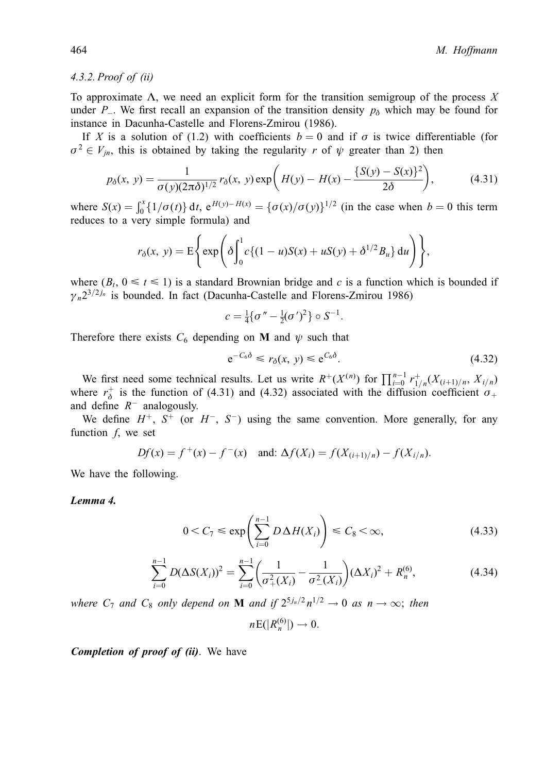#### 4.3.2. Proof of (ii)

To approximate  $\Lambda$ , we need an explicit form for the transition semigroup of the process X under P<sub>-</sub>. We first recall an expansion of the transition density  $p<sub>0</sub>$  which may be found for instance in Dacunha-Castelle and Florens-Zmirou (1986).

If X is a solution of (1.2) with coefficients  $b = 0$  and if  $\sigma$  is twice differentiable (for  $\sigma^2 \in V_{in}$ , this is obtained by taking the regularity r of  $\psi$  greater than 2) then

$$
p_{\delta}(x, y) = \frac{1}{\sigma(y)(2\pi\delta)^{1/2}} r_{\delta}(x, y) \exp\left(H(y) - H(x) - \frac{\{S(y) - S(x)\}^2}{2\delta}\right),\tag{4.31}
$$

where  $S(x) = \int_0^x \{1/\sigma(t)\} dt$ ,  $e^{H(y)-H(x)} = {\{\sigma(x)/\sigma(y)\}}^{1/2}$  (in the case when  $b = 0$  this term reduces to a very simple formula) and

$$
r_{\delta}(x, y) = \mathbb{E}\Bigg\{\exp\Bigg(\delta\Bigg|_0^1 c\{(1-u)S(x) + uS(y) + \delta^{1/2}B_u\}\,du\Bigg)\Bigg\},\,
$$

where  $(B_t, 0 \le t \le 1)$  is a standard Brownian bridge and c is a function which is bounded if  $\gamma_n 2^{3/2 j_n}$  is bounded. In fact (Dacunha-Castelle and Florens-Zmirou 1986)

$$
c = \frac{1}{4} \{ \sigma'' - \frac{1}{2} (\sigma')^2 \} \circ S^{-1}.
$$

Therefore there exists  $C_6$  depending on **M** and  $\psi$  such that

$$
e^{-C_6\delta} \le r_\delta(x, y) \le e^{C_6\delta}.\tag{4.32}
$$

We first need some technical results. Let us write  $R^+(X^{(n)})$  for  $\prod_{i=0}^{n-1} r^+_{1/n}(X_{(i+1)/n}, X_{i/n})$ where  $r_{\delta}^{+}$  is the function of (4.31) and (4.32) associated with the diffusion coefficient  $\sigma_{+}$ and define  $R$ <sup>-</sup> analogously.

We define  $H^+$ ,  $S^+$  (or  $H^-$ ,  $S^-$ ) using the same convention. More generally, for any function  $f$ , we set

$$
Df(x) = f^+(x) - f^-(x)
$$
 and:  $\Delta f(X_i) = f(X_{(i+1)/n}) - f(X_{i/n}).$ 

We have the following.

#### Lemma 4.

$$
0 < C_7 \le \exp\left(\sum_{i=0}^{n-1} D\,\Delta H(X_i)\right) \le C_8 < \infty,\tag{4.33}
$$

$$
\sum_{i=0}^{n-1} D(\Delta S(X_i))^2 = \sum_{i=0}^{n-1} \left( \frac{1}{\sigma_+^2(X_i)} - \frac{1}{\sigma_-^2(X_i)} \right) (\Delta X_i)^2 + R_n^{(6)},\tag{4.34}
$$

where  $C_7$  and  $C_8$  only depend on **M** and if  $2^{5j_n/2} n^{1/2} \rightarrow 0$  as  $n \rightarrow \infty$ ; then

$$
n\mathrm{E}(|R_n^{(6)}|) \to 0.
$$

Completion of proof of (ii). We have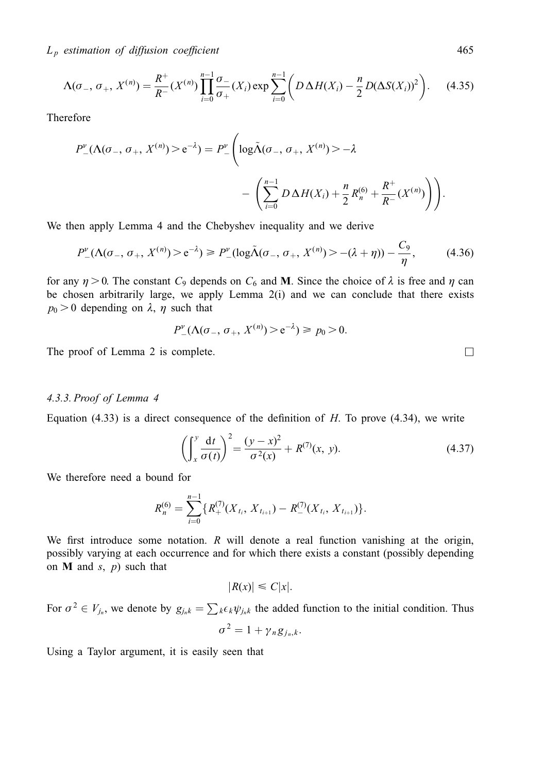$L_p$  estimation of diffusion coefficient 465

$$
\Lambda(\sigma_{-}, \sigma_{+}, X^{(n)}) = \frac{R^{+}}{R^{-}} (X^{(n)}) \prod_{i=0}^{n-1} \frac{\sigma_{-}}{\sigma_{+}} (X_i) \exp \sum_{i=0}^{n-1} \left( D \Delta H(X_i) - \frac{n}{2} D (\Delta S(X_i))^2 \right).
$$
 (4.35)

Therefore

$$
P_{-}^{\nu}(\Lambda(\sigma_{-}, \sigma_{+}, X^{(n)}) > e^{-\lambda}) = P_{-}^{\nu} \left( \log \tilde{\Lambda}(\sigma_{-}, \sigma_{+}, X^{(n)}) > -\lambda - \left( \sum_{i=0}^{n-1} D \Delta H(X_{i}) + \frac{n}{2} R_{n}^{(6)} + \frac{R^{+}}{R^{-}} (X^{(n)}) \right) \right).
$$

We then apply Lemma 4 and the Chebyshev inequality and we derive

$$
P_{-}^{\nu}(\Lambda(\sigma_{-}, \sigma_{+}, X^{(n)}) > e^{-\lambda}) \ge P_{-}^{\nu}(\log \tilde{\Lambda}(\sigma_{-}, \sigma_{+}, X^{(n)}) > -(\lambda + \eta)) - \frac{C_9}{\eta},
$$
(4.36)

for any  $\eta > 0$ . The constant  $C_9$  depends on  $C_6$  and **M**. Since the choice of  $\lambda$  is free and  $\eta$  can be chosen arbitrarily large, we apply Lemma  $2(i)$  and we can conclude that there exists  $p_0 > 0$  depending on  $\lambda$ ,  $\eta$  such that

$$
P_{-}^{\nu}(\Lambda(\sigma_{-}, \sigma_{+}, X^{(n)}) > e^{-\lambda}) \ge p_0 > 0.
$$

The proof of Lemma 2 is complete.  $\Box$ 

## 4.3.3. Proof of Lemma 4

Equation  $(4.33)$  is a direct consequence of the definition of H. To prove  $(4.34)$ , we write

$$
\left(\int_{x}^{y} \frac{dt}{\sigma(t)}\right)^{2} = \frac{(y-x)^{2}}{\sigma^{2}(x)} + R^{(7)}(x, y).
$$
\n(4.37)

We therefore need a bound for

$$
R_n^{(6)} = \sum_{i=0}^{n-1} \{ R_+^{(7)}(X_{t_i}, X_{t_{i+1}}) - R_-^{(7)}(X_{t_i}, X_{t_{i+1}}) \}.
$$

We first introduce some notation.  $R$  will denote a real function vanishing at the origin, possibly varying at each occurrence and for which there exists a constant (possibly depending on  $M$  and  $s$ ,  $p$ ) such that

$$
|R(x)| \leq C|x|.
$$

For  $\sigma^2 \in V_{j_n}$ , we denote by  $g_{j_n k} = \sum_k \epsilon_k \psi_{j_n k}$  the added function to the initial condition. Thus  $\sigma^2 = 1 + \gamma_n g_{i_n,k}$ .

Using a Taylor argument, it is easily seen that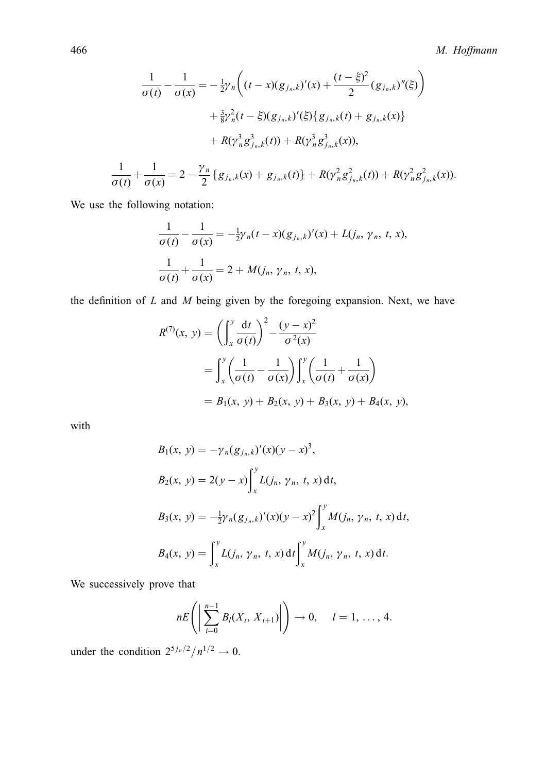$$
\frac{1}{\sigma(t)} - \frac{1}{\sigma(x)} = -\frac{1}{2}\gamma_n \bigg( (t-x)(g_{j_n,k})'(x) + \frac{(t-\xi)^2}{2} (g_{j_n,k})''(\xi) \bigg) \n+ \frac{3}{8}\gamma_n^2 (t-\xi)(g_{j_n,k})'(\xi) \{ g_{j_n,k}(t) + g_{j_n,k}(x) \} \n+ R(\gamma_n^3 g_{j_n,k}^3(t)) + R(\gamma_n^3 g_{j_n,k}^3(x)),
$$
\n
$$
\frac{1}{\sigma(t)} + \frac{1}{\sigma(x)} = 2 - \frac{\gamma_n}{2} \{ g_{j_n,k}(x) + g_{j_n,k}(t) \} + R(\gamma_n^2 g_{j_n,k}^2(t)) + R(\gamma_n^2 g_{j_n,k}^2(x)).
$$

We use the following notation:

$$
\frac{1}{\sigma(t)} - \frac{1}{\sigma(x)} = -\frac{1}{2}\gamma_n(t - x)(g_{j_n,k})'(x) + L(j_n, \gamma_n, t, x),
$$

$$
\frac{1}{\sigma(t)} + \frac{1}{\sigma(x)} = 2 + M(j_n, \gamma_n, t, x),
$$

the definition of  $L$  and  $M$  being given by the foregoing expansion. Next, we have

$$
R^{(7)}(x, y) = \left(\int_{x}^{y} \frac{dt}{\sigma(t)}\right)^{2} - \frac{(y - x)^{2}}{\sigma^{2}(x)}
$$
  
= 
$$
\int_{x}^{y} \left(\frac{1}{\sigma(t)} - \frac{1}{\sigma(x)}\right) \int_{x}^{y} \left(\frac{1}{\sigma(t)} + \frac{1}{\sigma(x)}\right)
$$
  
=  $B_{1}(x, y) + B_{2}(x, y) + B_{3}(x, y) + B_{4}(x, y),$ 

with

$$
B_1(x, y) = -\gamma_n (g_{j_n, k})'(x)(y - x)^3,
$$
  
\n
$$
B_2(x, y) = 2(y - x) \int_x^y L(j_n, \gamma_n, t, x) dt,
$$
  
\n
$$
B_3(x, y) = -\frac{1}{2}\gamma_n (g_{j_n, k})'(x)(y - x)^2 \int_x^y M(j_n, \gamma_n, t, x) dt,
$$
  
\n
$$
B_4(x, y) = \int_x^y L(j_n, \gamma_n, t, x) dt \int_x^y M(j_n, \gamma_n, t, x) dt.
$$

We successively prove that

$$
nE\left(\left|\sum_{i=0}^{n-1}B_l(X_i,X_{i+1})\right|\right)\to 0, \quad l=1,\ldots, 4.
$$

under the condition  $2^{5j_n/2}/n^{1/2} \rightarrow 0$ .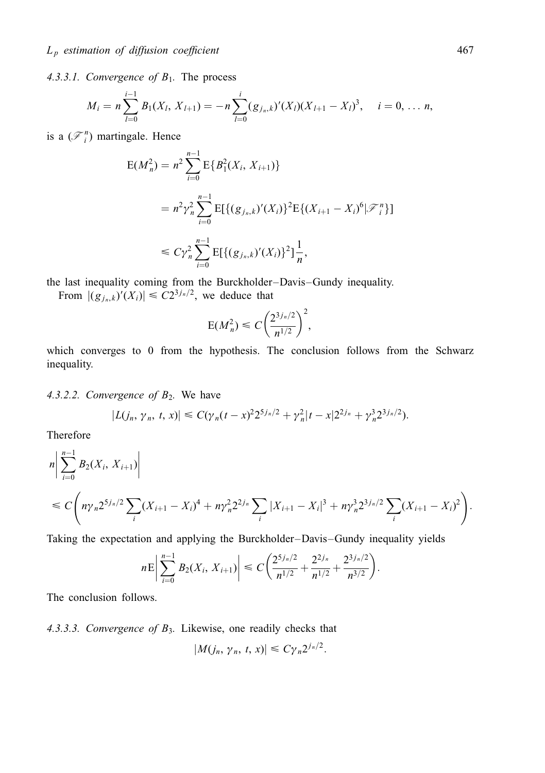4.3.3.1. Convergence of  $B_1$ . The process

$$
M_i = n \sum_{l=0}^{i-1} B_l(X_l, X_{l+1}) = -n \sum_{l=0}^{i} (g_{j_n,k})'(X_l)(X_{l+1} - X_l)^3, \quad i = 0, \ldots n,
$$

is a  $(\mathcal{F}_i^n)$  martingale. Hence

$$
E(M_n^2) = n^2 \sum_{i=0}^{n-1} E\{B_1^2(X_i, X_{i+1})\}
$$
  
=  $n^2 \gamma_n^2 \sum_{i=0}^{n-1} E[\{(g_{j_n,k})'(X_i)\}^2 E\{(X_{i+1} - X_i)^6 | \mathcal{F}_i^n\}]$   
 $\leq C \gamma_n^2 \sum_{i=0}^{n-1} E[\{(g_{j_n,k})'(X_i)\}^2] \frac{1}{n},$ 

the last inequality coming from the Burckholder-Davis-Gundy inequality.

From  $|(g_{j_n,k})'(X_i)| \leq C2^{3j_n/2}$ , we deduce that

$$
E(M_n^2) \leq C \left(\frac{2^{3j_n/2}}{n^{1/2}}\right)^2,
$$

which converges to 0 from the hypothesis. The conclusion follows from the Schwarz inequality.

4.3.2.2. Convergence of  $B_2$ . We have

$$
|L(j_n, \gamma_n, t, x)| \leq C(\gamma_n(t-x)^2 2^{5j_n/2} + \gamma_n^2 |t-x| 2^{2j_n} + \gamma_n^3 2^{3j_n/2}).
$$

Therefore

$$
n\left|\sum_{i=0}^{n-1}B_{2}(X_{i}, X_{i+1})\right|
$$
  
\n
$$
\leq C\left(n\gamma_{n}2^{5j_{n}/2}\sum_{i}(X_{i+1}-X_{i})^{4}+n\gamma_{n}^{2}2^{2j_{n}}\sum_{i}|X_{i+1}-X_{i}|^{3}+n\gamma_{n}^{3}2^{3j_{n}/2}\sum_{i}(X_{i+1}-X_{i})^{2}\right).
$$

Taking the expectation and applying the Burckholder–Davis–Gundy inequality yields

$$
n\mathrm{E}\left|\sum_{i=0}^{n-1}B_2(X_i,X_{i+1})\right|\leq C\bigg(\frac{2^{5j_n/2}}{n^{1/2}}+\frac{2^{2j_n}}{n^{1/2}}+\frac{2^{3j_n/2}}{n^{3/2}}\bigg).
$$

The conclusion follows.

4.3.3.3. Convergence of  $B_3$ . Likewise, one readily checks that

$$
|M(j_n, \gamma_n, t, x)| \leq C \gamma_n 2^{j_n/2}.
$$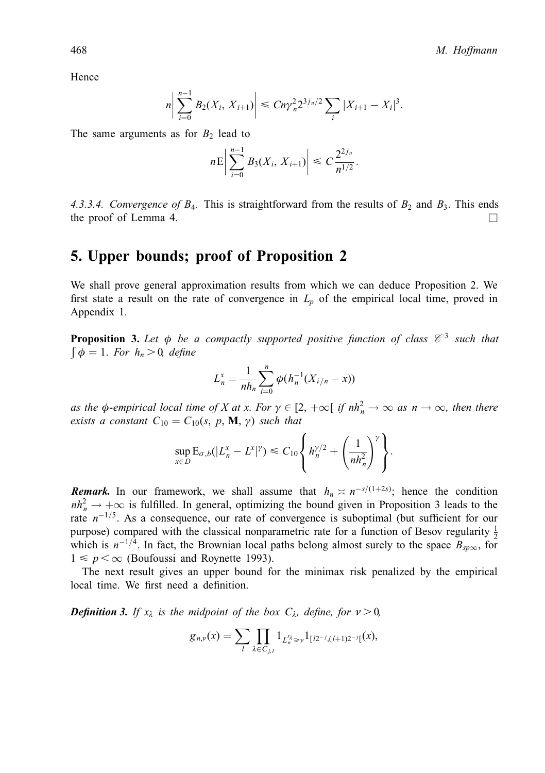Hence

$$
n\bigg|\sum_{i=0}^{n-1}B_2(X_i,X_{i+1})\bigg|\leq Cn\gamma_n^22^{3j_n/2}\sum_i|X_{i+1}-X_i|^3.
$$

The same arguments as for  $B_2$  lead to

$$
n\mathrm{E}\left|\sum_{i=0}^{n-1}B_3(X_i,X_{i+1})\right|\leq C\frac{2^{2j_n}}{n^{1/2}}.
$$

4.3.3.4. Convergence of  $B_4$ . This is straightforward from the results of  $B_2$  and  $B_3$ . This ends the proof of Lemma 4.  $\Box$ 

# 5. Upper bounds; proof of Proposition 2

We shall prove general approximation results from which we can deduce Proposition 2. We first state a result on the rate of convergence in  $L_p$  of the empirical local time, proved in Appendix 1.

**Proposition 3.** Let  $\phi$  be a compactly supported positive function of class  $\mathcal{C}^3$  such that  $\int \phi = 1$ . For  $h_n > 0$ , define

$$
L_n^x = \frac{1}{nh_n} \sum_{i=0}^n \phi(h_n^{-1}(X_{i/n} - x))
$$

as the  $\phi$ -empirical local time of X at x. For  $\gamma \in [2, +\infty[$  if  $nh_n^2 \to \infty$  as  $n \to \infty$ , then there exists a constant  $C_{10} = C_{10}(s, p, M, \gamma)$  such that

$$
\sup_{x\in D} \mathcal{E}_{\sigma,b}(|L_n^x - L^x|^{\gamma}) \leq C_{10} \left\{ h_n^{\gamma/2} + \left( \frac{1}{nh_n^2} \right)^{\gamma} \right\}.
$$

**Remark.** In our framework, we shall assume that  $h_n \approx n^{-s/(1+2s)}$ ; hence the condition  $nh_n^2 \rightarrow +\infty$  is fulfilled. In general, optimizing the bound given in Proposition 3 leads to the rate  $n^{-1/5}$ . As a consequence, our rate of convergence is suboptimal (but sufficient for our purpose) compared with the classical nonparametric rate for a function of Besov regularity  $\frac{1}{2}$ which is  $n^{-1/4}$ . In fact, the Brownian local paths belong almost surely to the space  $B_{\text{sp}\infty}$ , for  $1 \leq p \leq \infty$  (Boufoussi and Roynette 1993).

The next result gives an upper bound for the minimax risk penalized by the empirical local time. We first need a definition.

**Definition 3.** If  $x_{\lambda}$  is the midpoint of the box  $C_{\lambda}$ , define, for  $\nu > 0$ ,

$$
g_{n,\nu}(x) = \sum_{l} \prod_{\lambda \in C_{j,l}} 1_{L_n^{\chi_{\lambda}} \geq \nu} 1_{[l2^{-j}, (l+1)2^{-j}]}(x),
$$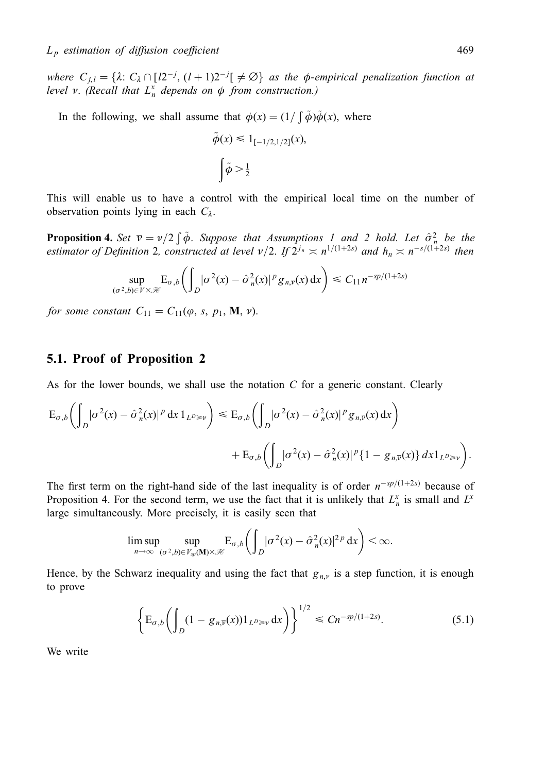where  $C_{j,l} = \{\lambda: C_{\lambda} \cap [l2^{-j}, (l+1)2^{-j}] \neq \emptyset\}$  as the  $\phi$ -empirical penalization function at level v. (Recall that  $L_n^x$  depends on  $\phi$  from construction.)

In the following, we shall assume that  $\phi(x) = (1/\int \tilde{\phi})\tilde{\phi}(x)$ , where

$$
\tilde{\phi}(x) \leq 1_{[-1/2, 1/2]}(x),
$$

$$
\int \tilde{\phi} > \frac{1}{2}
$$

This will enable us to have a control with the empirical local time on the number of observation points lying in each  $C_{\lambda}$ .

**Proposition 4.** Set  $\overline{v} = v/2 \int \tilde{\phi}$ . Suppose that Assumptions 1 and 2 hold. Let  $\hat{\sigma}_n^2$  be the estimator of Definition 2, constructed at level  $v/2$ . If  $2^{j_n} \approx n^{1/(1+2s)}$  and  $h_n \approx n^{-s/(1+2s)}$  then

$$
\sup_{(\sigma^2,b)\in V\times\mathcal{H}} \mathbb{E}_{\sigma,b}\bigg(\int_D |\sigma^2(x)-\hat{\sigma}_n^2(x)|^p g_{n,\overline{v}}(x) \,dx\bigg) \leq C_{11} n^{-sp/(1+2s)}
$$

for some constant  $C_{11} = C_{11}(\varphi, s, p_1, M, \nu).$ 

## 5.1. Proof of Proposition 2

As for the lower bounds, we shall use the notation  $C$  for a generic constant. Clearly

$$
E_{\sigma,b}\left(\int_D |\sigma^2(x) - \hat{\sigma}_n^2(x)|^p dx 1_{L^p \geq \nu}\right) \leq E_{\sigma,b}\left(\int_D |\sigma^2(x) - \hat{\sigma}_n^2(x)|^p g_{n,\overline{\nu}}(x) dx\right) + E_{\sigma,b}\left(\int_D |\sigma^2(x) - \hat{\sigma}_n^2(x)|^p \{1 - g_{n,\overline{\nu}}(x)\} dx 1_{L^p \geq \nu}\right).
$$

The first term on the right-hand side of the last inequality is of order  $n^{-sp/(1+2s)}$  because of Proposition 4. For the second term, we use the fact that it is unlikely that  $L_n^x$  is small and  $L^x$ large simultaneously. More precisely, it is easily seen that

$$
\limsup_{n\to\infty}\sup_{(\sigma^2,b)\in V_{sp}(\mathbf{M})\times\mathcal{H}}\mathrm{E}_{\sigma,b}\bigg(\int_D|\sigma^2(x)-\hat{\sigma}_n^2(x)|^{2p}\,\mathrm{d}x\bigg)<\infty.
$$

Hence, by the Schwarz inequality and using the fact that  $g_{n,\nu}$  is a step function, it is enough to prove

$$
\left\{ E_{\sigma,b} \left( \int_D (1 - g_{n,\overline{v}}(x)) \mathbf{1}_{L^D \geq v} \, dx \right) \right\}^{1/2} \leq C n^{-sp/(1+2s)}.
$$
 (5.1)

We write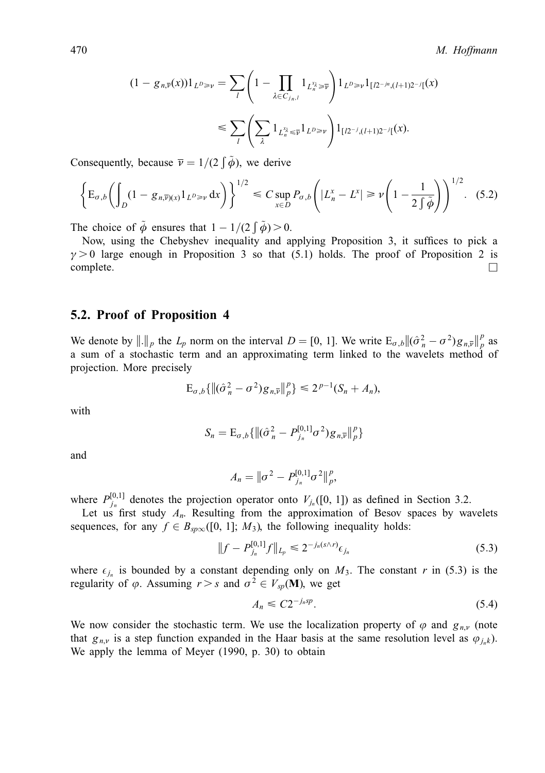$$
(1 - g_{n,\overline{v}}(x))1_{L^{D} \geq v} = \sum_{l} \left(1 - \prod_{\lambda \in C_{j_n,l}} 1_{L_n^{x_{\lambda}}} \geq \overline{v}\right) 1_{L^{D} \geq v} 1_{[l2^{-jn}, (l+1)2^{-j}]}(x)
$$
  

$$
\leq \sum_{l} \left(\sum_{\lambda} 1_{L_n^{x_{\lambda}}} \geq \overline{v} 1_{L^{D} \geq v}\right) 1_{[l2^{-j}, (l+1)2^{-j}]}(x).
$$

Consequently, because  $\overline{v} = 1/(2 \int \tilde{\phi})$ , we derive

$$
\left\{\mathbf{E}_{\sigma,b}\left(\int_D (1-g_{n,\overline{\nu}})_{(x)}1_{L^p \geq \nu} dx\right)\right\}^{1/2} \leq C \sup_{x \in D} P_{\sigma,b}\left(|L_n^x - L^x| \geq \nu \left(1 - \frac{1}{2\int \widetilde{\phi}}\right)\right)^{1/2}.\tag{5.2}
$$

The choice of  $\tilde{\phi}$  ensures that  $1 - 1/(2 \int \tilde{\phi}) > 0$ .

Now, using the Chebyshev inequality and applying Proposition 3, it suffices to pick a  $\gamma > 0$  large enough in Proposition 3 so that (5.1) holds. The proof of Proposition 2 is  $\Box$ complete.  $\Box$ 

#### 5.2. Proof of Proposition 4

We denote by  $\|\cdot\|_p$  the  $L_p$  norm on the interval  $D = [0, 1]$ . We write  $E_{\sigma,b} \|(\hat{\sigma}_n^2 - \sigma^2)g_{n,\overline{v}}\|_p^p$  as a sum of a stochastic term and an approximating term linked to the wavelets method of projection. More precisely

$$
\mathbf{E}_{\sigma,b}\{\|(\hat{\sigma}_n^2 - \sigma^2)g_{n,\overline{v}}\|_p^p\} \le 2^{p-1}(S_n + A_n),
$$

with

$$
S_n = \mathrm{E}_{\sigma,b}\{\|(\hat{\sigma}_n^2 - P_{j_n}^{[0,1]}\sigma^2)g_{n,\overline{v}}\|_p^p\}
$$

and

$$
A_n = \|\sigma^2 - P_{j_n}^{[0,1]}\sigma^2\|_p^p,
$$

where  $P_{j_n}^{[0,1]}$  denotes the projection operator onto  $V_{j_n}([0, 1])$  as defined in Section 3.2.

Let us first study  $A_n$ . Resulting from the approximation of Besov spaces by wavelets sequences, for any  $f \in B_{\text{sp}\infty}([0, 1]; M_3)$ , the following inequality holds:

$$
||f - P_{j_n}^{[0,1]}f||_{L_p} \le 2^{-j_n(s \wedge r)} \epsilon_{j_n}
$$
\n(5.3)

where  $\epsilon_{j_n}$  is bounded by a constant depending only on  $M_3$ . The constant r in (5.3) is the regularity of  $\varphi$ . Assuming  $r > s$  and  $\sigma^2 \in V_{sp}(\mathbf{M})$ , we get

$$
A_n \leq C 2^{-j_n s p}.\tag{5.4}
$$

We now consider the stochastic term. We use the localization property of  $\varphi$  and  $g_{n,\nu}$  (note that  $g_{n,\nu}$  is a step function expanded in the Haar basis at the same resolution level as  $\varphi_{j,k}$ ). We apply the lemma of Meyer (1990, p. 30) to obtain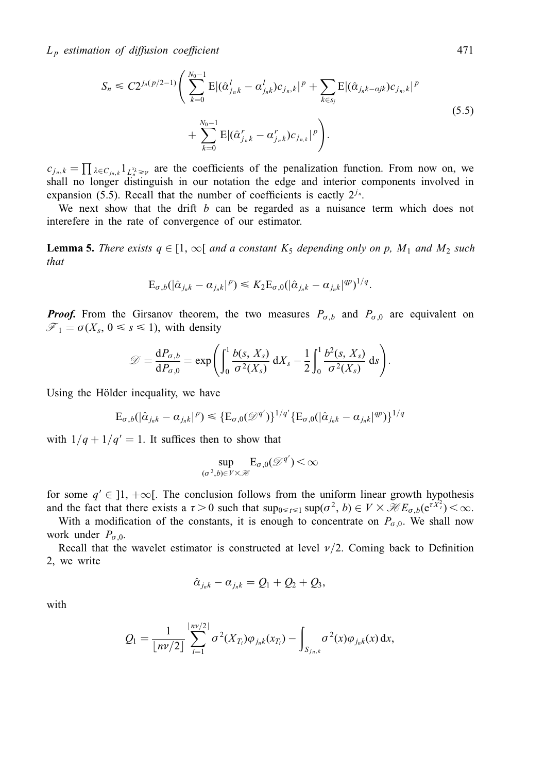$$
S_n \leq C2^{j_n(p/2-1)} \left( \sum_{k=0}^{N_0-1} \mathbb{E} |(\hat{\alpha}_{j_n k}^l - \alpha_{j_n k}^l) c_{j_n,k}|^p + \sum_{k \in s_j} \mathbb{E} |(\hat{\alpha}_{j_n k - \alpha j k}) c_{j_n,k}|^p + \sum_{k=0}^{N_0-1} \mathbb{E} |(\hat{\alpha}_{j_n k}^r - \alpha_{j_n k}^r) c_{j_n k}|^p \right).
$$
\n(5.5)

 $c_{j_n,k} = \prod_{\lambda \in C_{j_n,k}} 1_{L_{\lambda}^{x_{\lambda}} \geq v}$  are the coefficients of the penalization function. From now on, we shall no longer distinguish in our notation the edge and interior components involved in expansion (5.5). Recall that the number of coefficients is eactly  $2^{j_n}$ .

We next show that the drift  $b$  can be regarded as a nuisance term which does not interefere in the rate of convergence of our estimator.

**Lemma 5.** There exists  $q \in [1, \infty[$  and a constant  $K_5$  depending only on p,  $M_1$  and  $M_2$  such that

$$
E_{\sigma,b}(|\hat{\alpha}_{j_{n}k}-\alpha_{j_{n}k}|^{p}) \leq K_{2}E_{\sigma,0}(|\hat{\alpha}_{j_{n}k}-\alpha_{j_{n}k}|^{qp})^{1/q}.
$$

**Proof.** From the Girsanov theorem, the two measures  $P_{\sigma,b}$  and  $P_{\sigma,0}$  are equivalent on  $\mathcal{F}_1 = \sigma(X_s, 0 \leq s \leq 1)$ , with density

$$
\mathcal{D} = \frac{\mathrm{d}P_{\sigma,b}}{\mathrm{d}P_{\sigma,0}} = \exp\left(\int_0^1 \frac{b(s,X_s)}{\sigma^2(X_s)} \mathrm{d}X_s - \frac{1}{2}\int_0^1 \frac{b^2(s,X_s)}{\sigma^2(X_s)} \mathrm{d}s\right).
$$

Using the Hölder inequality, we have

$$
E_{\sigma,b}(|\hat{\alpha}_{j_{n}k} - \alpha_{j_{n}k}|^{p}) \leq \{E_{\sigma,0}(\mathcal{D}^{q'})\}^{1/q'} \{E_{\sigma,0}(|\hat{\alpha}_{j_{n}k} - \alpha_{j_{n}k}|^{qp})\}^{1/q}
$$

with  $1/q + 1/q' = 1$ . It suffices then to show that

$$
\sup_{(\sigma^2,b)\in V\times\mathcal{H}} \mathbf{E}_{\sigma,0}(\mathcal{D}^{q'}) < \infty
$$

for some  $q' \in ]1, +\infty[$ . The conclusion follows from the uniform linear growth hypothesis and the fact that there exists a  $\tau > 0$  such that  $\sup_{0 \le t \le 1} \sup(\sigma^2, b) \in V \times \mathcal{H}E_{\sigma,b}(e^{tX_t^2}) < \infty$ .

With a modification of the constants, it is enough to concentrate on  $P_{\sigma,0}$ . We shall now work under  $P_{\sigma,0}$ .

Recall that the wavelet estimator is constructed at level  $\nu/2$ . Coming back to Definition 2, we write

$$
\hat{\alpha}_{j_nk}-\alpha_{j_nk}=Q_1+Q_2+Q_3,
$$

with

$$
Q_1 = \frac{1}{\lfloor n\nu/2 \rfloor} \sum_{i=1}^{\lfloor n\nu/2 \rfloor} \sigma^2(X_{T_i}) \varphi_{j_n k}(x_{T_i}) - \int_{S_{j_n,k}} \sigma^2(x) \varphi_{j_n k}(x) dx,
$$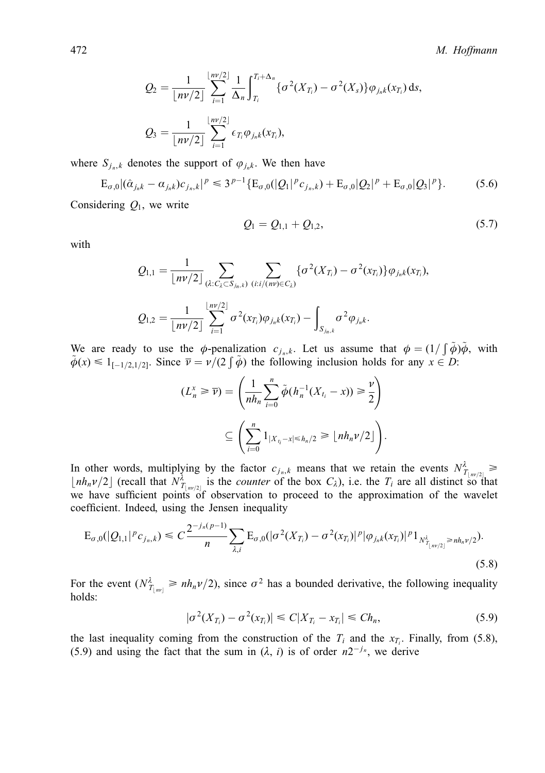$$
Q_2 = \frac{1}{\lfloor nv/2 \rfloor} \sum_{i=1}^{\lfloor nv/2 \rfloor} \frac{1}{\Delta_n} \int_{T_i}^{T_i + \Delta_n} \{ \sigma^2(X_{T_i}) - \sigma^2(X_s) \} \varphi_{j_n k}(x_{T_i}) ds,
$$
  

$$
Q_3 = \frac{1}{\lfloor nv/2 \rfloor} \sum_{i=1}^{\lfloor nv/2 \rfloor} \epsilon_{T_i} \varphi_{j_n k}(x_{T_i}),
$$

where  $S_{i_n,k}$  denotes the support of  $\varphi_{i_n,k}$ . We then have

$$
E_{\sigma,0} |(\hat{\alpha}_{j_{n}k} - \alpha_{j_{n}k})c_{j_{n},k}|^{p} \leq 3^{p-1} \{ E_{\sigma,0}(|Q_{1}|^{p} c_{j_{n},k}) + E_{\sigma,0} |Q_{2}|^{p} + E_{\sigma,0} |Q_{3}|^{p} \}.
$$
 (5.6)

Considering  $Q_1$ , we write

$$
Q_1 = Q_{1,1} + Q_{1,2}, \t\t(5.7)
$$

with

$$
Q_{1,1} = \frac{1}{\lfloor n\nu/2 \rfloor} \sum_{(\lambda:C_{\lambda} \subset S_{j_n,k})} \sum_{(i:i/(nv) \in C_{\lambda})} {\{\sigma^2(X_{T_i}) - \sigma^2(x_{T_i})\} \varphi_{j_n,k}(x_{T_i})},
$$
  

$$
Q_{1,2} = \frac{1}{\lfloor n\nu/2 \rfloor} \sum_{i=1}^{\lfloor n\nu/2 \rfloor} \sigma^2(x_{T_i}) \varphi_{j_n,k}(x_{T_i}) - \int_{S_{j_n,k}} \sigma^2 \varphi_{j_n,k}.
$$

We are ready to use the  $\phi$ -penalization  $c_{j_n,k}$ . Let us assume that  $\phi = (1/\int \tilde{\phi})\tilde{\phi}$ , with  $\tilde{\phi}(x) \leq 1_{[-1/2, 1/2]}$ . Since  $\overline{\nu} = \nu/(2 \int \tilde{\phi})$  the following inclusion holds for any  $x \in D$ :

$$
(L_n^x \geq \overline{\nu}) = \left(\frac{1}{nh_n} \sum_{i=0}^n \tilde{\phi}(h_n^{-1}(X_{t_i} - x)) \geq \frac{\nu}{2}\right)
$$

$$
\subseteq \left(\sum_{i=0}^n 1_{|X_{t_i} - x| \leq h_n/2} \geq \lfloor nh_n \nu/2 \rfloor\right).
$$

In other words, multiplying by the factor  $c_{j_n,k}$  means that we retain the events  $N^{\lambda}_{T_{\lfloor nr/2\rfloor}} \ge$  $\lfloor nh_n\nu/2 \rfloor$  (recall that  $N^{\lambda}_{T_{\lfloor nr/2 \rfloor}}$  is the *counter* of the box  $C_{\lambda}$ ), i.e. the  $T_i$  are all distinct so that we have sufficient points of observation to proceed to the approximation of the wavelet coefficient. Indeed, using the Jensen inequality

$$
E_{\sigma,0}(|Q_{1,1}|^p c_{j_n,k}) \leq C \frac{2^{-j_n(p-1)}}{n} \sum_{\lambda,i} E_{\sigma,0}(|\sigma^2(X_{T_i}) - \sigma^2(x_{T_i})|^p |\varphi_{j_n,k}(x_{T_i})|^p 1_{N^{\lambda}_{T_{\lfloor nv/2 \rfloor}} \geq nh_n\nu/2}).
$$
\n(5.8)

For the event  $(N^{\lambda}_{T_{[m]}} \ge nh_n \nu/2)$ , since  $\sigma^2$  has a bounded derivative, the following inequality holds:

$$
|\sigma^{2}(X_{T_{i}})-\sigma^{2}(x_{T_{i}})| \leq C|X_{T_{i}}-x_{T_{i}}| \leq Ch_{n},
$$
\n(5.9)

the last inequality coming from the construction of the  $T_i$  and the  $x_{T_i}$ . Finally, from (5.8), (5.9) and using the fact that the sum in  $(\lambda, i)$  is of order  $n2^{-j_n}$ , we derive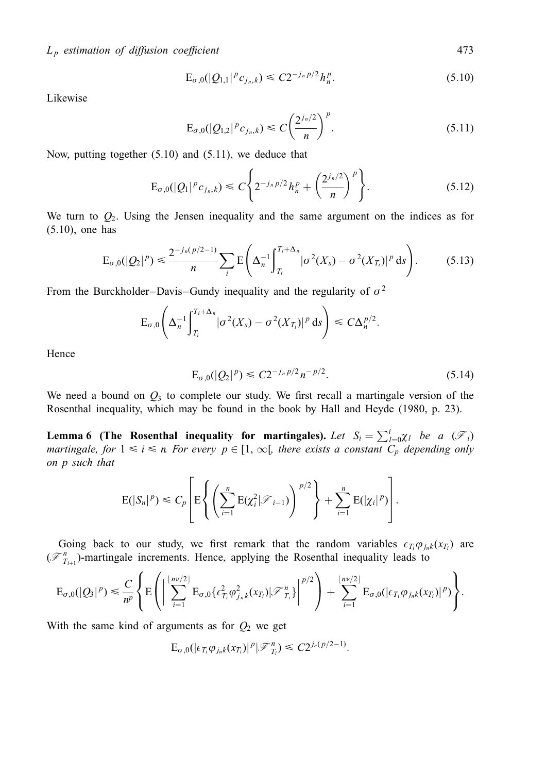$$
E_{\sigma,0}(|Q_{1,1}|^p c_{j_n,k}) \leq C2^{-j_n p/2} h_n^p. \tag{5.10}
$$

Likewise

$$
E_{\sigma,0}(|Q_{1,2}|^p c_{j_n,k}) \leq C \left(\frac{2^{j_n/2}}{n}\right)^p.
$$
\n(5.11)

Now, putting together (5.10) and (5.11), we deduce that

$$
E_{\sigma,0}(|Q_1|^p c_{j_n,k}) \leq C \left\{ 2^{-j_n p/2} h_n^p + \left( \frac{2^{j_n/2}}{n} \right)^p \right\}.
$$
 (5.12)

We turn to  $Q_2$ . Using the Jensen inequality and the same argument on the indices as for (5.10), one has

$$
E_{\sigma,0}(|Q_2|^p) \leq \frac{2^{-j_n(p/2-1)}}{n} \sum_i E\left(\Delta_n^{-1} \int_{T_i}^{T_i+\Delta_n} |\sigma^2(X_s) - \sigma^2(X_{T_i})|^p ds\right).
$$
 (5.13)

From the Burckholder–Davis–Gundy inequality and the regularity of  $\sigma^2$ 

$$
\mathrm{E}_{\sigma,0}\Bigg(\Delta_n^{-1}\Bigg|\frac{T_i+\Delta_n}{T_i}|\sigma^2(X_s)-\sigma^2(X_{T_i})|^p\,\mathrm{d} s\Bigg)\leqslant C\Delta_n^{p/2}.
$$

Hence

$$
E_{\sigma,0}(|Q_2|^p) \leq C2^{-j_n p/2} n^{-p/2}.
$$
\n(5.14)

We need a bound on  $Q_3$  to complete our study. We first recall a martingale version of the Rosenthal inequality, which may be found in the book by Hall and Heyde (1980, p. 23).

**Lemma 6** (The Rosenthal inequality for martingales). Let  $S_i = \sum_{l=0}^{i} \chi_l$  be a  $(\mathscr{F}_i)$ martingale, for  $1 \le i \le n$  For every  $p \in [1, \infty)$ , there exists a constant  $C_p$  depending only on p such that

$$
E(|S_n|^p) \leq C_p \left[ E \left\{ \left( \sum_{i=1}^n E(\chi_i^2 | \mathcal{F}_{i-1}) \right)^{p/2} \right\} + \sum_{i=1}^n E(|\chi_i|^p) \right].
$$

Going back to our study, we first remark that the random variables  $\epsilon_{T_i} \varphi_{j_n k}(x_{T_i})$  are  $(\mathcal{F}_{T_{i+1}}^n)$ -martingale increments. Hence, applying the Rosenthal inequality leads to

$$
\mathrm{E}_{\sigma,0}(|Q_3|^p) \leq \frac{C}{n^p} \left\{ \mathrm{E}\left( \left| \sum_{i=1}^{\lfloor n\nu/2 \rfloor} \mathrm{E}_{\sigma,0} \{ \epsilon_{T_i}^2 \varphi_{j_nk}^2(x_{T_i}) | \mathcal{F}_{T_i}^n \} \right|^{p/2} \right) + \sum_{i=1}^{\lfloor n\nu/2 \rfloor} \mathrm{E}_{\sigma,0}(|\epsilon_{T_i} \varphi_{j_nk}(x_{T_i})|^p) \right\}.
$$

With the same kind of arguments as for  $Q_2$  we get

$$
\mathrm{E}_{\sigma,0}(|\epsilon_{T_i}\varphi_{j_n,k}(x_{T_i})|^p|\mathscr{F}^n_{T_i})\leq C2^{j_n(p/2-1)}.
$$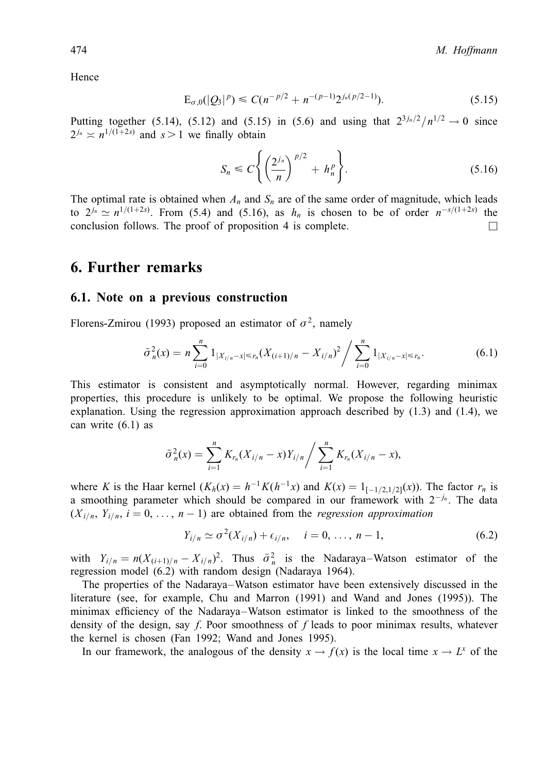Hence

$$
E_{\sigma,0}(|Q_3|^p) \le C(n^{-p/2} + n^{-(p-1)}2^{j_n(p/2-1)}).
$$
\n(5.15)

Putting together (5.14), (5.12) and (5.15) in (5.6) and using that  $2^{3j_n/2}/n^{1/2} \to 0$  since  $2^{j_n} \approx n^{1/(1+2s)}$  and  $s > 1$  we finally obtain

$$
S_n \leq C \left\{ \left( \frac{2^{j_n}}{n} \right)^{p/2} + h_n^p \right\}.
$$
 (5.16)

The optimal rate is obtained when  $A_n$  and  $S_n$  are of the same order of magnitude, which leads to  $2^{j_n} \simeq n^{1/(1+2s)}$ . From (5.4) and (5.16), as  $h_n$  is chosen to be of order  $n^{-s/(1+2s)}$  the conclusion follows. The proof of proposition 4 is complete.  $\Box$ 

# 6. Further remarks

#### 6.1. Note on a previous construction

Florens-Zmirou (1993) proposed an estimator of  $\sigma^2$ , namely

$$
\tilde{\sigma}_n^2(x) = n \sum_{i=0}^n 1_{|X_{i/n}-x| \le r_n} (X_{(i+1)/n} - X_{i/n})^2 / \sum_{i=0}^n 1_{|X_{i/n}-x| \le r_n}.
$$
\n(6.1)

This estimator is consistent and asymptotically normal. However, regarding minimax properties, this procedure is unlikely to be optimal. We propose the following heuristic explanation. Using the regression approximation approach described by  $(1.3)$  and  $(1.4)$ , we can write (6.1) as

$$
\tilde{\sigma}_n^2(x) = \sum_{i=1}^n K_{r_n}(X_{i/n} - x)Y_{i/n} / \sum_{i=1}^n K_{r_n}(X_{i/n} - x),
$$

where K is the Haar kernel  $(K_h(x) = h^{-1}K(h^{-1}x)$  and  $K(x) = 1_{[-1/2,1/2]}(x)$ ). The factor  $r_n$  is a smoothing parameter which should be compared in our framework with  $2^{-j_n}$ . The data  $(X_{i/n}, Y_{i/n}, i = 0, \ldots, n - 1)$  are obtained from the *regression approximation* 

$$
Y_{i/n} \simeq \sigma^2(X_{i/n}) + \epsilon_{i/n}, \quad i = 0, \dots, n-1,
$$
 (6.2)

with  $Y_{i/n}=n(X_{(i+1)/n}-X_{i/n})^2$ . Thus  $\tilde{\sigma}_n^2$  is the Nadaraya–Watson estimator of the regression model (6.2) with random design (Nadaraya 1964).

The properties of the Nadaraya–Watson estimator have been extensively discussed in the literature (see, for example, Chu and Marron (1991) and Wand and Jones (1995)). The minimax efficiency of the Nadaraya–Watson estimator is linked to the smoothness of the density of the design, say f. Poor smoothness of f leads to poor minimax results, whatever the kernel is chosen (Fan 1992; Wand and Jones 1995).

In our framework, the analogous of the density  $x \to f(x)$  is the local time  $x \to L^x$  of the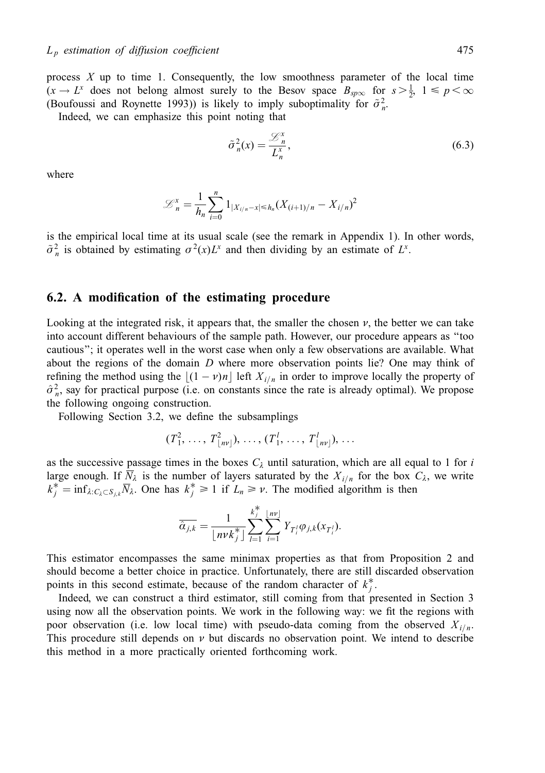process  $X$  up to time 1. Consequently, the low smoothness parameter of the local time  $(x \to L^x)$  does not belong almost surely to the Besov space  $B_{sp\infty}$  for  $s > \frac{1}{2}$ ,  $1 \le p < \infty$ (Boufoussi and Roynette 1993)) is likely to imply suboptimality for  $\tilde{\sigma}_n^2$ .

Indeed, we can emphasize this point noting that

$$
\tilde{\sigma}_n^2(x) = \frac{\mathcal{L}_n^x}{L_n^x},\tag{6.3}
$$

where

$$
\mathcal{L}_n^x = \frac{1}{h_n} \sum_{i=0}^n 1_{|X_{i/n} - x| \le h_n} (X_{(i+1)/n} - X_{i/n})^2
$$

is the empirical local time at its usual scale (see the remark in Appendix 1). In other words,  $\tilde{\sigma}_n^2$  is obtained by estimating  $\sigma^2(x)L^x$  and then dividing by an estimate of  $L^x$ .

## 6.2. A modification of the estimating procedure

Looking at the integrated risk, it appears that, the smaller the chosen  $\nu$ , the better we can take into account different behaviours of the sample path. However, our procedure appears as "too cautious''; it operates well in the worst case when only a few observations are available. What about the regions of the domain  $D$  where more observation points lie? One may think of refining the method using the  $|(1 - v)n|$  left  $X_{i/n}$  in order to improve locally the property of  $\hat{\sigma}_n^2$ , say for practical purpose (i.e. on constants since the rate is already optimal). We propose the following ongoing construction.

Following Section 3.2, we define the subsamplings

$$
(T_1^2, \ldots, T_{\lfloor nv \rfloor}^2), \ldots, (T_1^l, \ldots, T_{\lfloor nv \rfloor}^l), \ldots
$$

as the successive passage times in the boxes  $C_{\lambda}$  until saturation, which are all equal to 1 for i large enough. If  $\overline{N}_{\lambda}$  is the number of layers saturated by the  $X_{i/n}$  for the box  $C_{\lambda}$ , we write  $k_j^* = \inf_{\lambda: C_{\lambda} \subset S_{j,k}} \overline{N}_{\lambda}$ . One has  $k_j^* \ge 1$  if  $L_n \ge \nu$ . The modified algorithm is then

$$
\overline{\hat{\alpha}_{j,k}} = \frac{1}{\lfloor n \nu k_j^* \rfloor} \sum_{l=1}^{k_j^*} \sum_{i=1}^{\lfloor n \nu \rfloor} Y_{T_i^l} \varphi_{j,k}(x_{T_i^l}).
$$

This estimator encompasses the same minimax properties as that from Proposition 2 and should become a better choice in practice. Unfortunately, there are still discarded observation points in this second estimate, because of the random character of  $k_j^*$ .

Indeed, we can construct a third estimator, still coming from that presented in Section 3 using now all the observation points. We work in the following way: we fit the regions with poor observation (i.e. low local time) with pseudo-data coming from the observed  $X_{i/n}$ . This procedure still depends on  $\nu$  but discards no observation point. We intend to describe this method in a more practically oriented forthcoming work.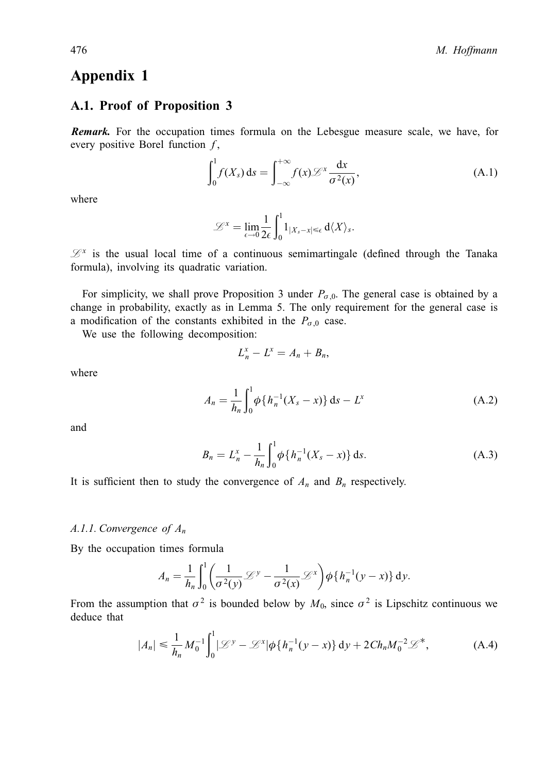# Appendix 1

## A.1. Proof of Proposition 3

Remark. For the occupation times formula on the Lebesgue measure scale, we have, for every positive Borel function  $f$ ,

$$
\int_0^1 f(X_s) \, \mathrm{d} s = \int_{-\infty}^{+\infty} f(x) \mathcal{L}^x \frac{\mathrm{d} x}{\sigma^2(x)},\tag{A.1}
$$

where

$$
\mathcal{L}^{x} = \lim_{\epsilon \to 0} \frac{1}{2\epsilon} \int_{0}^{1} 1_{|X_{s}-x| \leq \epsilon} d\langle X \rangle_{s}.
$$

 $\mathcal{L}^x$  is the usual local time of a continuous semimartingale (defined through the Tanaka formula), involving its quadratic variation.

For simplicity, we shall prove Proposition 3 under  $P_{\sigma,0}$ . The general case is obtained by a change in probability, exactly as in Lemma 5. The only requirement for the general case is a modification of the constants exhibited in the  $P_{\sigma,0}$  case.

We use the following decomposition:

$$
L_n^x - L^x = A_n + B_n,
$$

where

$$
A_n = \frac{1}{h_n} \int_0^1 \phi \{ h_n^{-1} (X_s - x) \} ds - L^x
$$
 (A.2)

and

$$
B_n = L_n^x - \frac{1}{h_n} \int_0^1 \phi \{ h_n^{-1} (X_s - x) \} \, \mathrm{d} s. \tag{A.3}
$$

It is sufficient then to study the convergence of  $A_n$  and  $B_n$  respectively.

#### A.1.1. Convergence of  $A_n$

By the occupation times formula

$$
A_n = \frac{1}{h_n} \int_0^1 \left( \frac{1}{\sigma^2(y)} \mathcal{L}^y - \frac{1}{\sigma^2(x)} \mathcal{L}^x \right) \phi \{ h_n^{-1}(y-x) \} dy.
$$

From the assumption that  $\sigma^2$  is bounded below by  $M_0$ , since  $\sigma^2$  is Lipschitz continuous we deduce that

$$
|A_n| \leq \frac{1}{h_n} M_0^{-1} \int_0^1 |\mathcal{L}^y - \mathcal{L}^x| \phi \{ h_n^{-1}(y - x) \} dy + 2C h_n M_0^{-2} \mathcal{L}^*,
$$
 (A.4)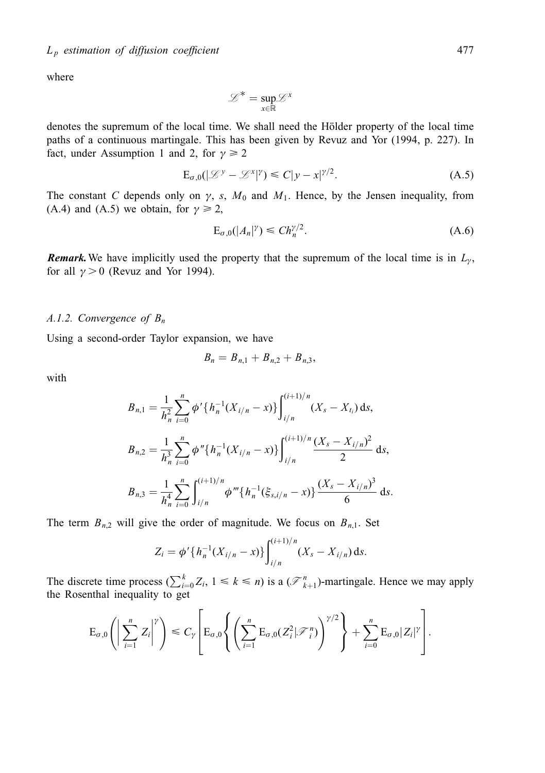where

$$
\mathcal{L}^* = \sup_{x \in \mathbb{R}} \mathcal{L}^x
$$

denotes the supremum of the local time. We shall need the Hölder property of the local time paths of a continuous martingale. This has been given by Revuz and Yor (1994, p. 227). In fact, under Assumption 1 and 2, for  $\gamma \ge 2$ 

$$
\mathbf{E}_{\sigma,0}(|\mathcal{L}^{\mathcal{Y}} - \mathcal{L}^{\mathcal{X}}|^{\mathcal{Y}}) \leq C|y - x|^{\mathcal{Y}/2}.
$$
 (A.5)

The constant C depends only on  $\gamma$ , s,  $M_0$  and  $M_1$ . Hence, by the Jensen inequality, from (A.4) and (A.5) we obtain, for  $\gamma \ge 2$ ,

$$
E_{\sigma,0}(|A_n|^\gamma) \le C h_n^{\gamma/2}.
$$
\n(A.6)

**Remark.** We have implicitly used the property that the supremum of the local time is in  $L_y$ , for all  $\gamma > 0$  (Revuz and Yor 1994).

#### A.1.2. Convergence of  $B_n$

Using a second-order Taylor expansion, we have

$$
B_n = B_{n,1} + B_{n,2} + B_{n,3},
$$

with

$$
B_{n,1} = \frac{1}{h_n^2} \sum_{i=0}^n \phi' \{ h_n^{-1} (X_{i/n} - x) \} \int_{i/n}^{(i+1)/n} (X_s - X_{t_i}) ds,
$$
  
\n
$$
B_{n,2} = \frac{1}{h_n^3} \sum_{i=0}^n \phi'' \{ h_n^{-1} (X_{i/n} - x) \} \int_{i/n}^{(i+1)/n} \frac{(X_s - X_{i/n})^2}{2} ds,
$$
  
\n
$$
B_{n,3} = \frac{1}{h_n^4} \sum_{i=0}^n \int_{i/n}^{(i+1)/n} \phi''' \{ h_n^{-1} (\xi_{s,i/n} - x) \} \frac{(X_s - X_{i/n})^3}{6} ds.
$$

The term  $B_{n,2}$  will give the order of magnitude. We focus on  $B_{n,1}$ . Set

$$
Z_i = \phi'\{h_n^{-1}(X_{i/n} - x)\}\int_{i/n}^{(i+1)/n} (X_s - X_{i/n}) \, \mathrm{d} s.
$$

The discrete time process  $(\sum_{i=0}^{k} Z_i, 1 \leq k \leq n)$  is a  $(\mathcal{F}_{k+1}^n)$ -martingale. Hence we may apply the Rosenthal inequality to get

$$
E_{\sigma,0}\left(\left|\sum_{i=1}^n Z_i\right|^{\gamma}\right) \leq C_{\gamma}\left[E_{\sigma,0}\left\{\left(\sum_{i=1}^n E_{\sigma,0}(Z_i^2|\mathcal{F}_i^n)\right)^{\gamma/2}\right\} + \sum_{i=0}^n E_{\sigma,0}|Z_i|^{\gamma}\right].
$$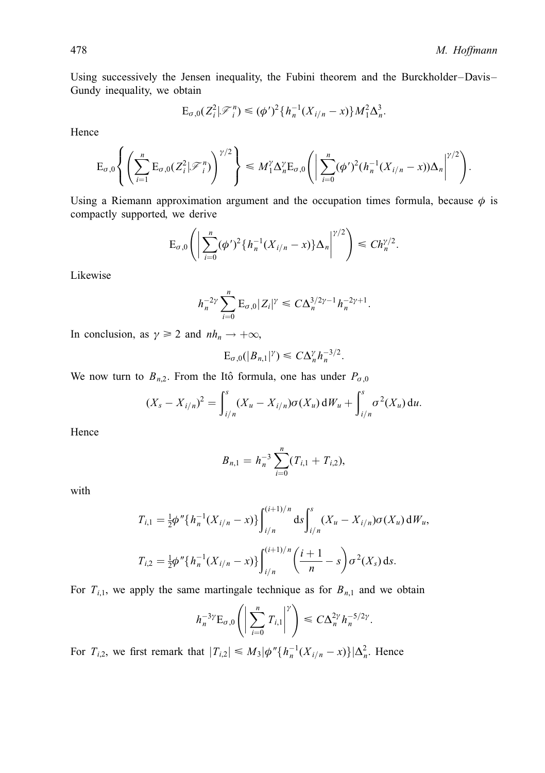Using successively the Jensen inequality, the Fubini theorem and the Burckholder-Davis-Gundy inequality, we obtain

$$
E_{\sigma,0}(Z_i^2|\mathcal{F}_i^n) \leq (\phi')^2 \{h_n^{-1}(X_{i/n} - x)\} M_1^2 \Delta_n^3.
$$

Hence

$$
\mathrm{E}_{\sigma,0}\left\{\left(\sum_{i=1}^n\mathrm{E}_{\sigma,0}(Z_i^2|\mathscr{F}_i^n)\right)^{\gamma/2}\right\}\leq M_1^{\gamma}\Delta_n^{\gamma}\mathrm{E}_{\sigma,0}\left(\left|\sum_{i=0}^n(\phi')^2(h_n^{-1}(X_{i/n}-x))\Delta_n\right|^{\gamma/2}\right).
$$

Using a Riemann approximation argument and the occupation times formula, because  $\phi$  is compactly supported, we derive

$$
E_{\sigma,0}\left(\left|\sum_{i=0}^n (\phi')^2 \{h_n^{-1}(X_{i/n}-x)\}\Delta_n\right|^{\gamma/2}\right) \leq Ch_n^{\gamma/2}.
$$

Likewise

$$
h_n^{-2\gamma} \sum_{i=0}^n \mathbf{E}_{\sigma,0} |Z_i|^{\gamma} \leq C \Delta_n^{3/2\gamma - 1} h_n^{-2\gamma + 1}.
$$

In conclusion, as  $\gamma \ge 2$  and  $nh_n \to +\infty$ ,

$$
\mathrm{E}_{\sigma,0}(|B_{n,1}|^{\gamma})\leq C\Delta_n^{\gamma}h_n^{-3/2}.
$$

We now turn to  $B_{n,2}$ . From the Itô formula, one has under  $P_{\sigma,0}$ 

$$
(X_s - X_{i/n})^2 = \int_{i/n}^s (X_u - X_{i/n}) \sigma(X_u) dW_u + \int_{i/n}^s \sigma^2(X_u) du.
$$

Hence

$$
B_{n,1}=h_n^{-3}\sum_{i=0}^n(T_{i,1}+T_{i,2}),
$$

with

$$
T_{i,1} = \frac{1}{2}\phi''\{h_n^{-1}(X_{i/n} - x)\}\int_{i/n}^{(i+1)/n} ds \int_{i/n}^s (X_u - X_{i/n})\sigma(X_u) dW_u,
$$
  

$$
T_{i,2} = \frac{1}{2}\phi''\{h_n^{-1}(X_{i/n} - x)\}\int_{i/n}^{(i+1)/n} \left(\frac{i+1}{n} - s\right)\sigma^2(X_s) ds.
$$

For  $T_{i,1}$ , we apply the same martingale technique as for  $B_{n,1}$  and we obtain

$$
h_n^{-3\gamma} \mathcal{E}_{\sigma,0}\left(\left|\sum_{i=0}^n T_{i,1}\right|^{\gamma}\right) \leq C \Delta_n^{2\gamma} h_n^{-5/2\gamma}.
$$

For  $T_{i,2}$ , we first remark that  $|T_{i,2}| \le M_3 |\phi''\{h_n^{-1}(X_{i/n} - x)\}|\Delta_n^2$ . Hence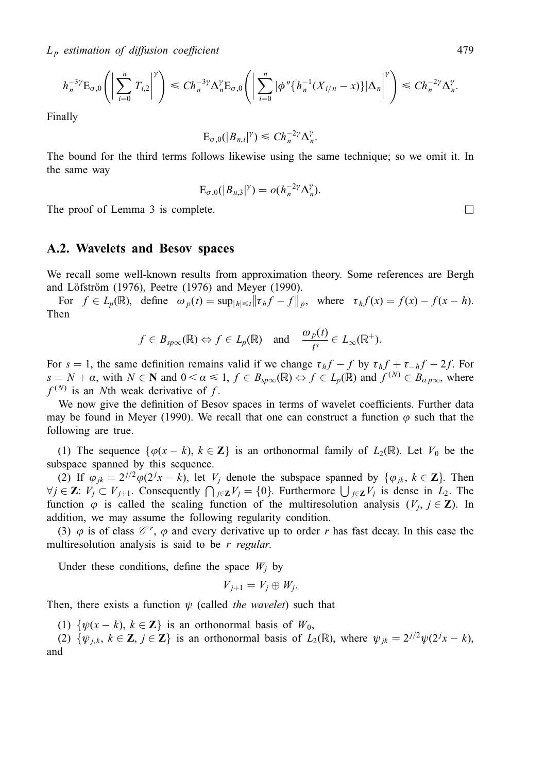$L_p$  estimation of diffusion coefficient  $479$ 

$$
h_n^{-3\gamma} \mathcal{E}_{\sigma,0}\left(\left|\sum_{i=0}^n T_{i,2}\right|^{\gamma}\right) \leq Ch_n^{-3\gamma} \Delta_n^{\gamma} \mathcal{E}_{\sigma,0}\left(\left|\sum_{i=0}^n |\phi''\{h_n^{-1}(X_{i/n}-x)\}|\Delta_n\right|^{\gamma}\right) \leq Ch_n^{-2\gamma} \Delta_n^{\gamma}.
$$

Finally

$$
\mathrm{E}_{\sigma,0}(|B_{n,i}|^{\gamma}) \leq Ch_n^{-2\gamma} \Delta_n^{\gamma}.
$$

The bound for the third terms follows likewise using the same technique; so we omit it. In the same way

$$
\mathrm{E}_{\sigma,0}(|B_{n,3}|^{\gamma})=o(h_n^{-2\gamma}\Delta_n^{\gamma}).
$$

The proof of Lemma 3 is complete.  $\Box$ 

#### A.2. Wavelets and Besov spaces

We recall some well-known results from approximation theory. Some references are Bergh and Löfström (1976), Peetre (1976) and Meyer (1990).

For  $f \in L_p(\mathbb{R})$ , define  $\omega_p(t) = \sup_{|h| \le t} ||\tau_h f - f||_p$ , where  $\tau_h f(x) = f(x) - f(x - h)$ . Then

$$
f \in B_{sp\infty}(\mathbb{R}) \Leftrightarrow f \in L_p(\mathbb{R}) \text{ and } \frac{\omega_p(t)}{t^s} \in L_\infty(\mathbb{R}^+).
$$

For  $s = 1$ , the same definition remains valid if we change  $\tau_h f - f$  by  $\tau_h f + \tau_{-h} f - 2f$ . For  $s = N + \alpha$ , with  $N \in \mathbb{N}$  and  $0 < \alpha \leq 1$ ,  $f \in B_{\text{spec}}(\mathbb{R}) \Leftrightarrow f \in L_p(\mathbb{R})$  and  $f^{(N)} \in B_{\alpha \text{pos}}$ , where  $f^{(N)}$  is an Nth weak derivative of f.

We now give the definition of Besov spaces in terms of wavelet coefficients. Further data may be found in Meyer (1990). We recall that one can construct a function  $\varphi$  such that the following are true.

(1) The sequence  $\{\varphi(x - k), k \in \mathbb{Z}\}\$  is an orthonormal family of  $L_2(\mathbb{R})$ . Let  $V_0$  be the subspace spanned by this sequence.

(2) If  $\varphi_{jk} = 2^{j/2} \varphi(2^j x - k)$ , let  $V_j$  denote the subspace spanned by  $\{\varphi_{jk}, k \in \mathbb{Z}\}\)$ . Then  $\forall j \in \mathbb{Z}: V_j \subset V_{j+1}$ . Consequently  $\bigcap_{j \in \mathbb{Z}} V_j = \{0\}$ . Furthermore  $\bigcup_{j \in \mathbb{Z}} V_j$  is dense in  $L_2$ . The function  $\varphi$  is called the scaling function of the multiresolution analysis  $(V_i, j \in \mathbb{Z})$ . In addition, we may assume the following regularity condition.

(3)  $\varphi$  is of class  $\mathcal{C}^r$ ,  $\varphi$  and every derivative up to order r has fast decay. In this case the multiresolution analysis is said to be  $r$  regular.

Under these conditions, define the space  $W_i$  by

$$
V_{j+1}=V_j\oplus W_j.
$$

Then, there exists a function  $\psi$  (called the wavelet) such that

(1)  $\{\psi(x - k), k \in \mathbb{Z}\}\$ is an orthonormal basis of  $W_0$ ,

(2)  $\{\psi_{j,k}, k \in \mathbb{Z}, j \in \mathbb{Z}\}\$  is an orthonormal basis of  $L_2(\mathbb{R})$ , where  $\psi_{jk} = 2^{j/2}\psi(2^jx - k)$ , and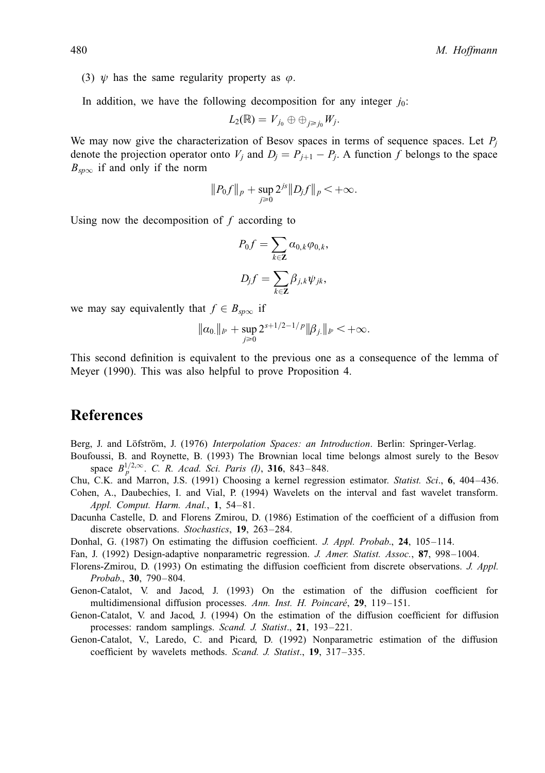(3)  $\psi$  has the same regularity property as  $\varphi$ .

In addition, we have the following decomposition for any integer  $j_0$ :

$$
L_2(\mathbb{R})=V_{j_0}\oplus\oplus_{j\geq j_0}W_j.
$$

We may now give the characterization of Besov spaces in terms of sequence spaces. Let  $P_i$ denote the projection operator onto  $V_j$  and  $D_j = P_{j+1} - P_j$ . A function f belongs to the space  $B_{\rm snow}$  if and only if the norm

$$
||P_0f||_p + \sup_{j\geq 0} 2^{js} ||D_jf||_p < +\infty.
$$

Using now the decomposition of  $f$  according to

$$
P_0 f = \sum_{k \in \mathbf{Z}} a_{0,k} \varphi_{0,k},
$$
  

$$
D_j f = \sum_{k \in \mathbf{Z}} \beta_{j,k} \psi_{jk},
$$

we may say equivalently that  $f \in B_{\text{sp}\infty}$  if

$$
\|a_0\|_{l^p}+\sup_{j\geq 0}2^{s+1/2-1/p}\|\beta_{j\cdot}\|_{l^p}<+\infty.
$$

This second definition is equivalent to the previous one as a consequence of the lemma of Meyer (1990). This was also helpful to prove Proposition 4.

# References

- Berg, J. and Löfström, J. (1976) Interpolation Spaces: an Introduction. Berlin: Springer-Verlag.
- Boufoussi, B. and Roynette, B. (1993) The Brownian local time belongs almost surely to the Besov space  $B_n^{1/2,\infty}$ . C. R. Acad. Sci. Paris (I), 316, 843–848.
- Chu, C.K. and Marron, J.S. (1991) Choosing a kernel regression estimator. Statist. Sci., 6, 404-436.
- Cohen, A., Daubechies, I. and Vial, P. (1994) Wavelets on the interval and fast wavelet transform. Appl. Comput. Harm. Anal.,  $1, 54-81$ .
- Dacunha Castelle, D. and Florens Zmirou, D. (1986) Estimation of the coefficient of a diffusion from discrete observations. Stochastics, 19, 263-284.
- Donhal, G. (1987) On estimating the diffusion coefficient. J. Appl. Probab., 24, 105-114.
- Fan, J. (1992) Design-adaptive nonparametric regression. J. Amer. Statist. Assoc., 87, 998–1004.
- Florens-Zmirou, D. (1993) On estimating the diffusion coefficient from discrete observations. J. Appl. Probab., 30, 790-804.
- Genon-Catalot, V. and Jacod, J. (1993) On the estimation of the diffusion coefficient for multidimensional diffusion processes. Ann. Inst. H. Poincaré, 29, 119-151.
- Genon-Catalot, V. and Jacod, J. (1994) On the estimation of the diffusion coefficient for diffusion processes: random samplings. Scand. J. Statist., 21, 193-221.
- Genon-Catalot, V., Laredo, C. and Picard, D. (1992) Nonparametric estimation of the diffusion coefficient by wavelets methods. Scand. J. Statist., 19, 317-335.